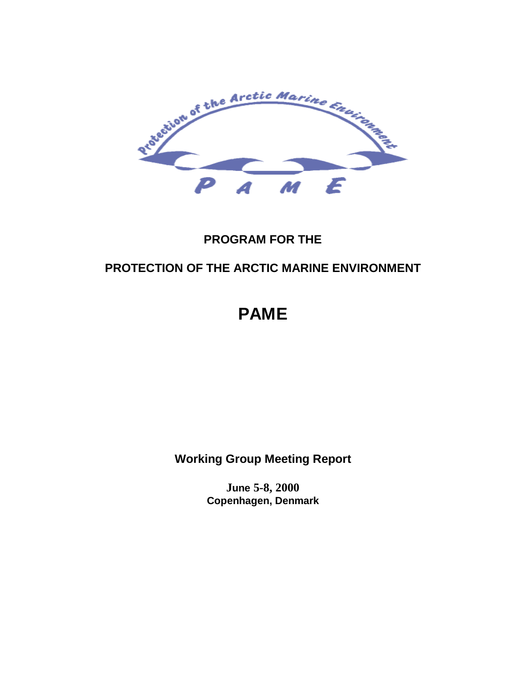

## **PROGRAM FOR THE**

## **PROTECTION OF THE ARCTIC MARINE ENVIRONMENT**

# **PAME**

**Working Group Meeting Report**

**June 5-8, 2000 Copenhagen, Denmark**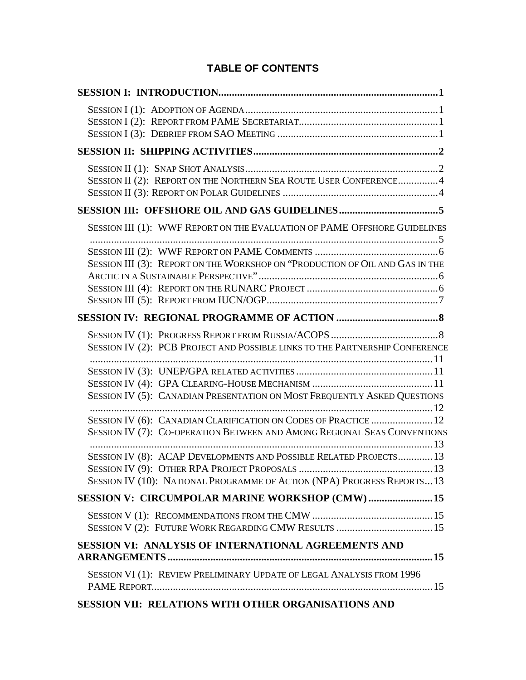### **TABLE OF CONTENTS**

| SESSION II (2): REPORT ON THE NORTHERN SEA ROUTE USER CONFERENCE4                                                                                                                            |  |
|----------------------------------------------------------------------------------------------------------------------------------------------------------------------------------------------|--|
|                                                                                                                                                                                              |  |
| SESSION III (1): WWF REPORT ON THE EVALUATION OF PAME OFFSHORE GUIDELINES                                                                                                                    |  |
| SESSION III (3): REPORT ON THE WORKSHOP ON "PRODUCTION OF OIL AND GAS IN THE                                                                                                                 |  |
|                                                                                                                                                                                              |  |
| SESSION IV (2): PCB PROJECT AND POSSIBLE LINKS TO THE PARTNERSHIP CONFERENCE                                                                                                                 |  |
| SESSION IV (5): CANADIAN PRESENTATION ON MOST FREQUENTLY ASKED QUESTIONS                                                                                                                     |  |
| SESSION IV (6): CANADIAN CLARIFICATION ON CODES OF PRACTICE  12<br>SESSION IV (7): CO-OPERATION BETWEEN AND AMONG REGIONAL SEAS CONVENTIONS                                                  |  |
| SESSION IV (8): ACAP DEVELOPMENTS AND POSSIBLE RELATED PROJECTS 13<br>SESSION IV (9): OTHER RPA PROJECT PROPOSALS.<br>SESSION IV (10): NATIONAL PROGRAMME OF ACTION (NPA) PROGRESS REPORTS13 |  |
| SESSION V: CIRCUMPOLAR MARINE WORKSHOP (CMW)  15                                                                                                                                             |  |
|                                                                                                                                                                                              |  |
| SESSION VI: ANALYSIS OF INTERNATIONAL AGREEMENTS AND                                                                                                                                         |  |
| SESSION VI (1): REVIEW PRELIMINARY UPDATE OF LEGAL ANALYSIS FROM 1996                                                                                                                        |  |
| SESSION VII: RELATIONS WITH OTHER ORGANISATIONS AND                                                                                                                                          |  |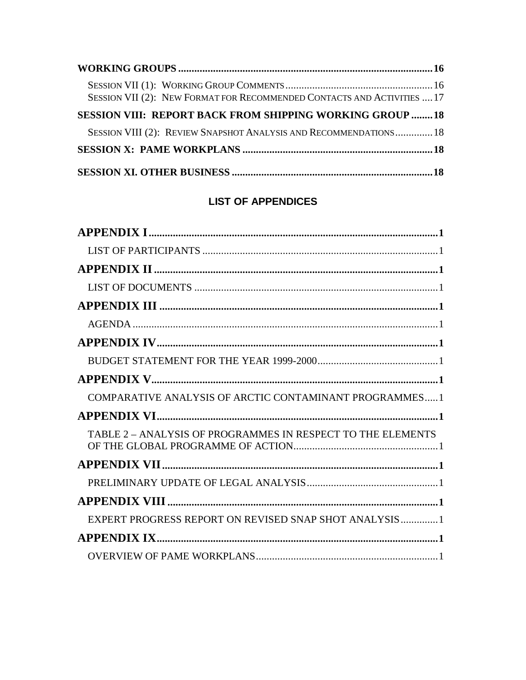| SESSION VII (2): NEW FORMAT FOR RECOMMENDED CONTACTS AND ACTIVITIES  17 |  |
|-------------------------------------------------------------------------|--|
| SESSION VIII: REPORT BACK FROM SHIPPING WORKING GROUP  18               |  |
| SESSION VIII (2): REVIEW SNAPSHOT ANALYSIS AND RECOMMENDATIONS 18       |  |
|                                                                         |  |
|                                                                         |  |

### **LIST OF APPENDICES**

| COMPARATIVE ANALYSIS OF ARCTIC CONTAMINANT PROGRAMMES 1     |
|-------------------------------------------------------------|
|                                                             |
| TABLE 2 - ANALYSIS OF PROGRAMMES IN RESPECT TO THE ELEMENTS |
|                                                             |
|                                                             |
|                                                             |
| EXPERT PROGRESS REPORT ON REVISED SNAP SHOT ANALYSIS 1      |
|                                                             |
|                                                             |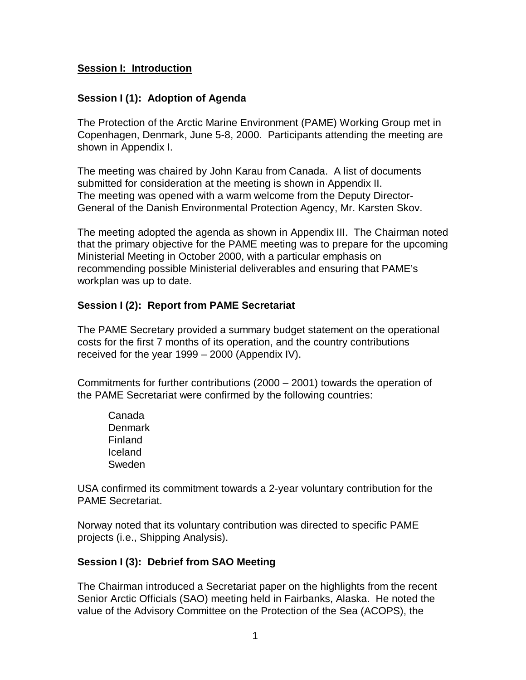#### **Session I: Introduction**

#### **Session I (1): Adoption of Agenda**

The Protection of the Arctic Marine Environment (PAME) Working Group met in Copenhagen, Denmark, June 5-8, 2000. Participants attending the meeting are shown in Appendix I.

The meeting was chaired by John Karau from Canada. A list of documents submitted for consideration at the meeting is shown in Appendix II. The meeting was opened with a warm welcome from the Deputy Director-General of the Danish Environmental Protection Agency, Mr. Karsten Skov.

The meeting adopted the agenda as shown in Appendix III. The Chairman noted that the primary objective for the PAME meeting was to prepare for the upcoming Ministerial Meeting in October 2000, with a particular emphasis on recommending possible Ministerial deliverables and ensuring that PAME's workplan was up to date.

#### **Session I (2): Report from PAME Secretariat**

The PAME Secretary provided a summary budget statement on the operational costs for the first 7 months of its operation, and the country contributions received for the year 1999 – 2000 (Appendix IV).

Commitments for further contributions (2000 – 2001) towards the operation of the PAME Secretariat were confirmed by the following countries:

Canada **Denmark** Finland Iceland Sweden

USA confirmed its commitment towards a 2-year voluntary contribution for the PAME Secretariat.

Norway noted that its voluntary contribution was directed to specific PAME projects (i.e., Shipping Analysis).

#### **Session I (3): Debrief from SAO Meeting**

The Chairman introduced a Secretariat paper on the highlights from the recent Senior Arctic Officials (SAO) meeting held in Fairbanks, Alaska. He noted the value of the Advisory Committee on the Protection of the Sea (ACOPS), the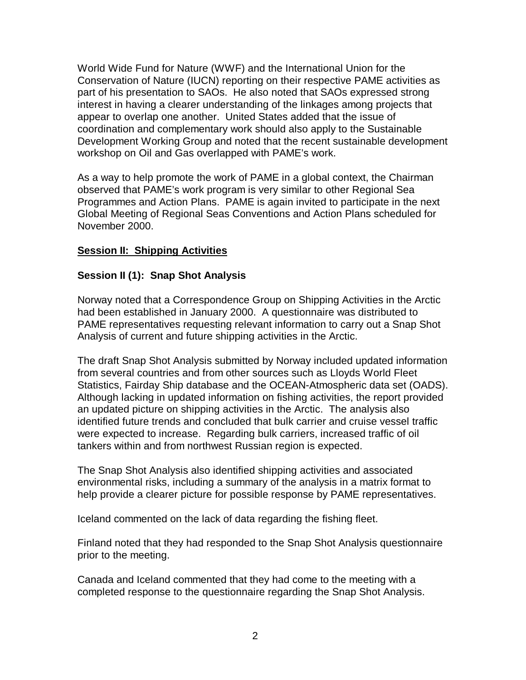World Wide Fund for Nature (WWF) and the International Union for the Conservation of Nature (IUCN) reporting on their respective PAME activities as part of his presentation to SAOs. He also noted that SAOs expressed strong interest in having a clearer understanding of the linkages among projects that appear to overlap one another. United States added that the issue of coordination and complementary work should also apply to the Sustainable Development Working Group and noted that the recent sustainable development workshop on Oil and Gas overlapped with PAME's work.

As a way to help promote the work of PAME in a global context, the Chairman observed that PAME's work program is very similar to other Regional Sea Programmes and Action Plans. PAME is again invited to participate in the next Global Meeting of Regional Seas Conventions and Action Plans scheduled for November 2000.

#### **Session II: Shipping Activities**

#### **Session II (1): Snap Shot Analysis**

Norway noted that a Correspondence Group on Shipping Activities in the Arctic had been established in January 2000. A questionnaire was distributed to PAME representatives requesting relevant information to carry out a Snap Shot Analysis of current and future shipping activities in the Arctic.

The draft Snap Shot Analysis submitted by Norway included updated information from several countries and from other sources such as Lloyds World Fleet Statistics, Fairday Ship database and the OCEAN-Atmospheric data set (OADS). Although lacking in updated information on fishing activities, the report provided an updated picture on shipping activities in the Arctic. The analysis also identified future trends and concluded that bulk carrier and cruise vessel traffic were expected to increase. Regarding bulk carriers, increased traffic of oil tankers within and from northwest Russian region is expected.

The Snap Shot Analysis also identified shipping activities and associated environmental risks, including a summary of the analysis in a matrix format to help provide a clearer picture for possible response by PAME representatives.

Iceland commented on the lack of data regarding the fishing fleet.

Finland noted that they had responded to the Snap Shot Analysis questionnaire prior to the meeting.

Canada and Iceland commented that they had come to the meeting with a completed response to the questionnaire regarding the Snap Shot Analysis.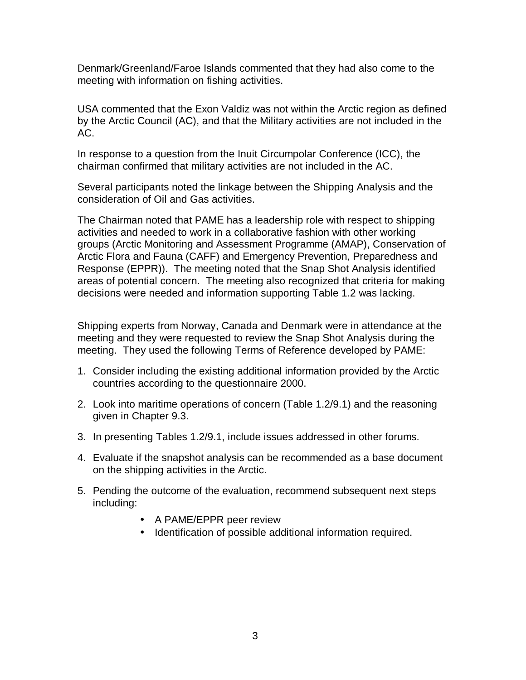Denmark/Greenland/Faroe Islands commented that they had also come to the meeting with information on fishing activities.

USA commented that the Exon Valdiz was not within the Arctic region as defined by the Arctic Council (AC), and that the Military activities are not included in the AC.

In response to a question from the Inuit Circumpolar Conference (ICC), the chairman confirmed that military activities are not included in the AC.

Several participants noted the linkage between the Shipping Analysis and the consideration of Oil and Gas activities.

The Chairman noted that PAME has a leadership role with respect to shipping activities and needed to work in a collaborative fashion with other working groups (Arctic Monitoring and Assessment Programme (AMAP), Conservation of Arctic Flora and Fauna (CAFF) and Emergency Prevention, Preparedness and Response (EPPR)). The meeting noted that the Snap Shot Analysis identified areas of potential concern. The meeting also recognized that criteria for making decisions were needed and information supporting Table 1.2 was lacking.

Shipping experts from Norway, Canada and Denmark were in attendance at the meeting and they were requested to review the Snap Shot Analysis during the meeting. They used the following Terms of Reference developed by PAME:

- 1. Consider including the existing additional information provided by the Arctic countries according to the questionnaire 2000.
- 2. Look into maritime operations of concern (Table 1.2/9.1) and the reasoning given in Chapter 9.3.
- 3. In presenting Tables 1.2/9.1, include issues addressed in other forums.
- 4. Evaluate if the snapshot analysis can be recommended as a base document on the shipping activities in the Arctic.
- 5. Pending the outcome of the evaluation, recommend subsequent next steps including:
	- A PAME/EPPR peer review
	- Identification of possible additional information required.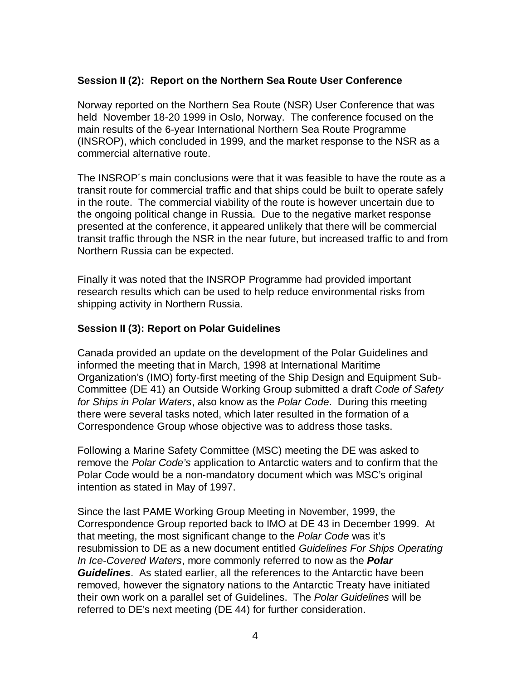#### **Session II (2): Report on the Northern Sea Route User Conference**

Norway reported on the Northern Sea Route (NSR) User Conference that was held November 18-20 1999 in Oslo, Norway. The conference focused on the main results of the 6-year International Northern Sea Route Programme (INSROP), which concluded in 1999, and the market response to the NSR as a commercial alternative route.

The INSROP´s main conclusions were that it was feasible to have the route as a transit route for commercial traffic and that ships could be built to operate safely in the route. The commercial viability of the route is however uncertain due to the ongoing political change in Russia. Due to the negative market response presented at the conference, it appeared unlikely that there will be commercial transit traffic through the NSR in the near future, but increased traffic to and from Northern Russia can be expected.

Finally it was noted that the INSROP Programme had provided important research results which can be used to help reduce environmental risks from shipping activity in Northern Russia.

#### **Session II (3): Report on Polar Guidelines**

Canada provided an update on the development of the Polar Guidelines and informed the meeting that in March, 1998 at International Maritime Organization's (IMO) forty-first meeting of the Ship Design and Equipment Sub-Committee (DE 41) an Outside Working Group submitted a draft Code of Safety for Ships in Polar Waters, also know as the Polar Code. During this meeting there were several tasks noted, which later resulted in the formation of a Correspondence Group whose objective was to address those tasks.

Following a Marine Safety Committee (MSC) meeting the DE was asked to remove the Polar Code's application to Antarctic waters and to confirm that the Polar Code would be a non-mandatory document which was MSC's original intention as stated in May of 1997.

Since the last PAME Working Group Meeting in November, 1999, the Correspondence Group reported back to IMO at DE 43 in December 1999. At that meeting, the most significant change to the Polar Code was it's resubmission to DE as a new document entitled Guidelines For Ships Operating In Ice-Covered Waters, more commonly referred to now as the **Polar Guidelines**. As stated earlier, all the references to the Antarctic have been removed, however the signatory nations to the Antarctic Treaty have initiated their own work on a parallel set of Guidelines. The Polar Guidelines will be referred to DE's next meeting (DE 44) for further consideration.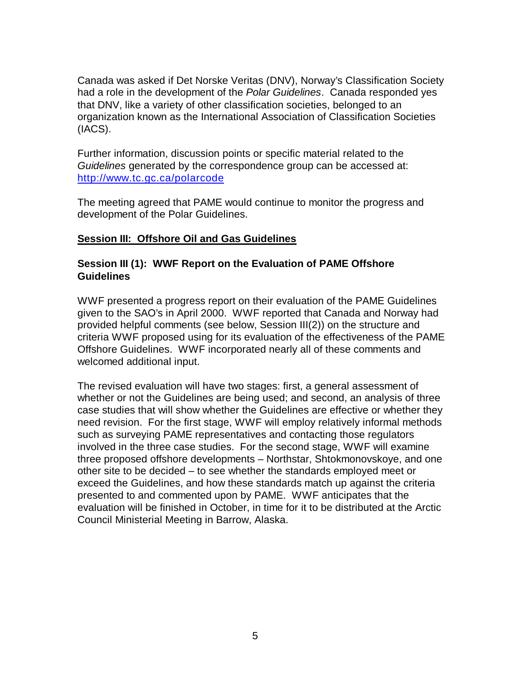Canada was asked if Det Norske Veritas (DNV), Norway's Classification Society had a role in the development of the Polar Guidelines. Canada responded yes that DNV, like a variety of other classification societies, belonged to an organization known as the International Association of Classification Societies (IACS).

Further information, discussion points or specific material related to the Guidelines generated by the correspondence group can be accessed at: http://www.tc.gc.ca/polarcode

The meeting agreed that PAME would continue to monitor the progress and development of the Polar Guidelines.

#### **Session III: Offshore Oil and Gas Guidelines**

#### **Session III (1): WWF Report on the Evaluation of PAME Offshore Guidelines**

WWF presented a progress report on their evaluation of the PAME Guidelines given to the SAO's in April 2000. WWF reported that Canada and Norway had provided helpful comments (see below, Session III(2)) on the structure and criteria WWF proposed using for its evaluation of the effectiveness of the PAME Offshore Guidelines. WWF incorporated nearly all of these comments and welcomed additional input.

The revised evaluation will have two stages: first, a general assessment of whether or not the Guidelines are being used; and second, an analysis of three case studies that will show whether the Guidelines are effective or whether they need revision. For the first stage, WWF will employ relatively informal methods such as surveying PAME representatives and contacting those regulators involved in the three case studies. For the second stage, WWF will examine three proposed offshore developments – Northstar, Shtokmonovskoye, and one other site to be decided – to see whether the standards employed meet or exceed the Guidelines, and how these standards match up against the criteria presented to and commented upon by PAME. WWF anticipates that the evaluation will be finished in October, in time for it to be distributed at the Arctic Council Ministerial Meeting in Barrow, Alaska.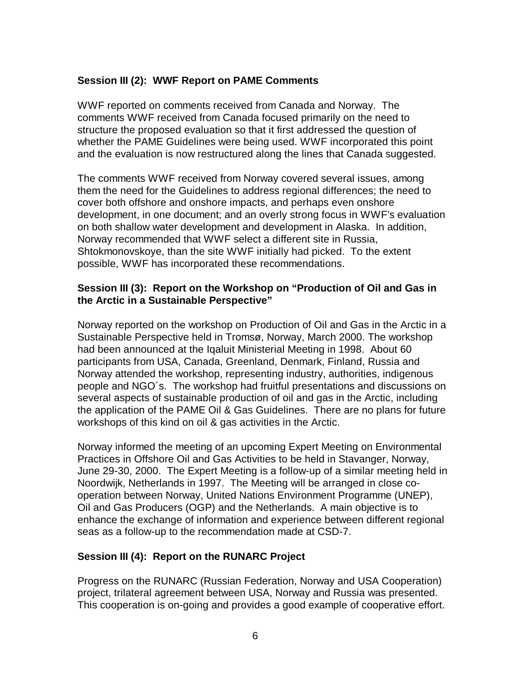#### **Session III (2): WWF Report on PAME Comments**

WWF reported on comments received from Canada and Norway. The comments WWF received from Canada focused primarily on the need to structure the proposed evaluation so that it first addressed the question of whether the PAME Guidelines were being used. WWF incorporated this point and the evaluation is now restructured along the lines that Canada suggested.

The comments WWF received from Norway covered several issues, among them the need for the Guidelines to address regional differences; the need to cover both offshore and onshore impacts, and perhaps even onshore development, in one document; and an overly strong focus in WWF's evaluation on both shallow water development and development in Alaska. In addition, Norway recommended that WWF select a different site in Russia, Shtokmonovskoye, than the site WWF initially had picked. To the extent possible, WWF has incorporated these recommendations.

#### **Session III (3): Report on the Workshop on "Production of Oil and Gas in the Arctic in a Sustainable Perspective"**

Norway reported on the workshop on Production of Oil and Gas in the Arctic in a Sustainable Perspective held in Tromsø, Norway, March 2000. The workshop had been announced at the Iqaluit Ministerial Meeting in 1998. About 60 participants from USA, Canada, Greenland, Denmark, Finland, Russia and Norway attended the workshop, representing industry, authorities, indigenous people and NGO´s. The workshop had fruitful presentations and discussions on several aspects of sustainable production of oil and gas in the Arctic, including the application of the PAME Oil & Gas Guidelines. There are no plans for future workshops of this kind on oil & gas activities in the Arctic.

Norway informed the meeting of an upcoming Expert Meeting on Environmental Practices in Offshore Oil and Gas Activities to be held in Stavanger, Norway, June 29-30, 2000. The Expert Meeting is a follow-up of a similar meeting held in Noordwijk, Netherlands in 1997. The Meeting will be arranged in close cooperation between Norway, United Nations Environment Programme (UNEP), Oil and Gas Producers (OGP) and the Netherlands. A main objective is to enhance the exchange of information and experience between different regional seas as a follow-up to the recommendation made at CSD-7.

#### **Session III (4): Report on the RUNARC Project**

Progress on the RUNARC (Russian Federation, Norway and USA Cooperation) project, trilateral agreement between USA, Norway and Russia was presented. This cooperation is on-going and provides a good example of cooperative effort.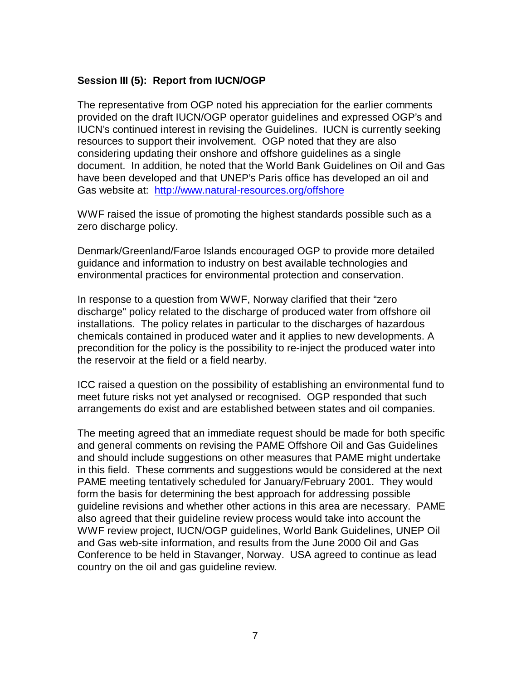#### **Session III (5): Report from IUCN/OGP**

The representative from OGP noted his appreciation for the earlier comments provided on the draft IUCN/OGP operator guidelines and expressed OGP's and IUCN's continued interest in revising the Guidelines. IUCN is currently seeking resources to support their involvement. OGP noted that they are also considering updating their onshore and offshore guidelines as a single document. In addition, he noted that the World Bank Guidelines on Oil and Gas have been developed and that UNEP's Paris office has developed an oil and Gas website at: http://www.natural-resources.org/offshore

WWF raised the issue of promoting the highest standards possible such as a zero discharge policy.

Denmark/Greenland/Faroe Islands encouraged OGP to provide more detailed guidance and information to industry on best available technologies and environmental practices for environmental protection and conservation.

In response to a question from WWF, Norway clarified that their "zero discharge" policy related to the discharge of produced water from offshore oil installations. The policy relates in particular to the discharges of hazardous chemicals contained in produced water and it applies to new developments. A precondition for the policy is the possibility to re-inject the produced water into the reservoir at the field or a field nearby.

ICC raised a question on the possibility of establishing an environmental fund to meet future risks not yet analysed or recognised. OGP responded that such arrangements do exist and are established between states and oil companies.

The meeting agreed that an immediate request should be made for both specific and general comments on revising the PAME Offshore Oil and Gas Guidelines and should include suggestions on other measures that PAME might undertake in this field. These comments and suggestions would be considered at the next PAME meeting tentatively scheduled for January/February 2001. They would form the basis for determining the best approach for addressing possible guideline revisions and whether other actions in this area are necessary. PAME also agreed that their guideline review process would take into account the WWF review project, IUCN/OGP guidelines, World Bank Guidelines, UNEP Oil and Gas web-site information, and results from the June 2000 Oil and Gas Conference to be held in Stavanger, Norway. USA agreed to continue as lead country on the oil and gas guideline review.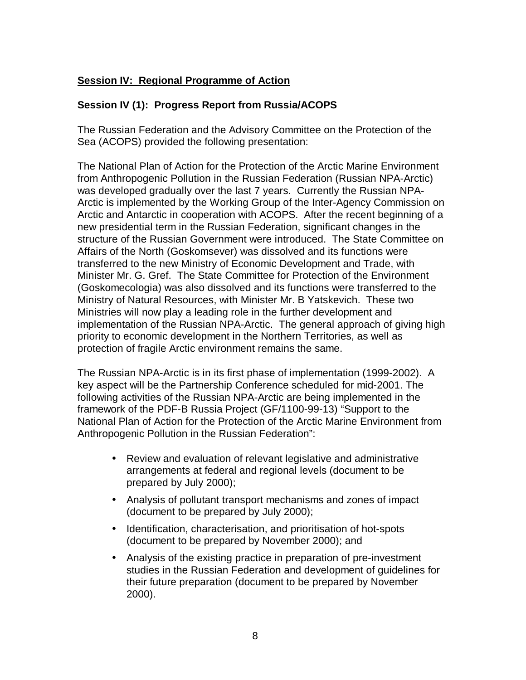### **Session IV: Regional Programme of Action**

#### **Session IV (1): Progress Report from Russia/ACOPS**

The Russian Federation and the Advisory Committee on the Protection of the Sea (ACOPS) provided the following presentation:

The National Plan of Action for the Protection of the Arctic Marine Environment from Anthropogenic Pollution in the Russian Federation (Russian NPA-Arctic) was developed gradually over the last 7 years. Currently the Russian NPA-Arctic is implemented by the Working Group of the Inter-Agency Commission on Arctic and Antarctic in cooperation with ACOPS. After the recent beginning of a new presidential term in the Russian Federation, significant changes in the structure of the Russian Government were introduced. The State Committee on Affairs of the North (Goskomsever) was dissolved and its functions were transferred to the new Ministry of Economic Development and Trade, with Minister Mr. G. Gref. The State Committee for Protection of the Environment (Goskomecologia) was also dissolved and its functions were transferred to the Ministry of Natural Resources, with Minister Mr. B Yatskevich. These two Ministries will now play a leading role in the further development and implementation of the Russian NPA-Arctic. The general approach of giving high priority to economic development in the Northern Territories, as well as protection of fragile Arctic environment remains the same.

The Russian NPA-Arctic is in its first phase of implementation (1999-2002). A key aspect will be the Partnership Conference scheduled for mid-2001. The following activities of the Russian NPA-Arctic are being implemented in the framework of the PDF-B Russia Project (GF/1100-99-13) "Support to the National Plan of Action for the Protection of the Arctic Marine Environment from Anthropogenic Pollution in the Russian Federation":

- Review and evaluation of relevant legislative and administrative arrangements at federal and regional levels (document to be prepared by July 2000);
- Analysis of pollutant transport mechanisms and zones of impact (document to be prepared by July 2000);
- Identification, characterisation, and prioritisation of hot-spots (document to be prepared by November 2000); and
- Analysis of the existing practice in preparation of pre-investment studies in the Russian Federation and development of guidelines for their future preparation (document to be prepared by November 2000).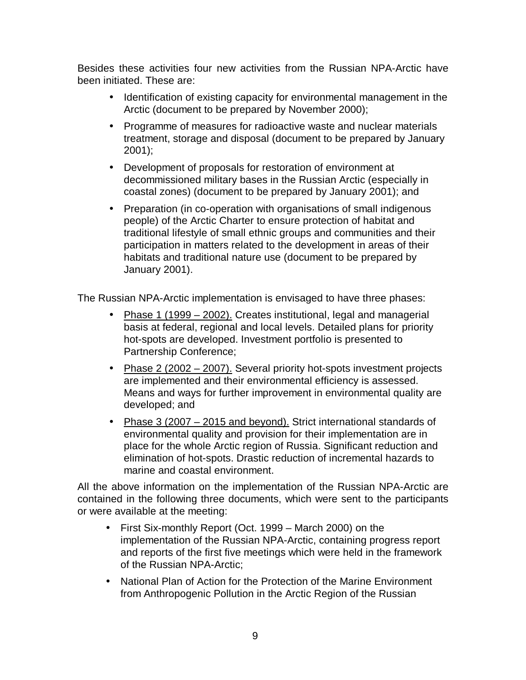Besides these activities four new activities from the Russian NPA-Arctic have been initiated. These are:

- Identification of existing capacity for environmental management in the Arctic (document to be prepared by November 2000);
- Programme of measures for radioactive waste and nuclear materials treatment, storage and disposal (document to be prepared by January 2001);
- Development of proposals for restoration of environment at decommissioned military bases in the Russian Arctic (especially in coastal zones) (document to be prepared by January 2001); and
- Preparation (in co-operation with organisations of small indigenous people) of the Arctic Charter to ensure protection of habitat and traditional lifestyle of small ethnic groups and communities and their participation in matters related to the development in areas of their habitats and traditional nature use (document to be prepared by January 2001).

The Russian NPA-Arctic implementation is envisaged to have three phases:

- Phase 1 (1999 2002). Creates institutional, legal and managerial basis at federal, regional and local levels. Detailed plans for priority hot-spots are developed. Investment portfolio is presented to Partnership Conference;
- Phase 2 (2002 2007). Several priority hot-spots investment projects are implemented and their environmental efficiency is assessed. Means and ways for further improvement in environmental quality are developed; and
- Phase 3 (2007 2015 and beyond). Strict international standards of environmental quality and provision for their implementation are in place for the whole Arctic region of Russia. Significant reduction and elimination of hot-spots. Drastic reduction of incremental hazards to marine and coastal environment.

All the above information on the implementation of the Russian NPA-Arctic are contained in the following three documents, which were sent to the participants or were available at the meeting:

- First Six-monthly Report (Oct. 1999 March 2000) on the implementation of the Russian NPA-Arctic, containing progress report and reports of the first five meetings which were held in the framework of the Russian NPA-Arctic;
- National Plan of Action for the Protection of the Marine Environment from Anthropogenic Pollution in the Arctic Region of the Russian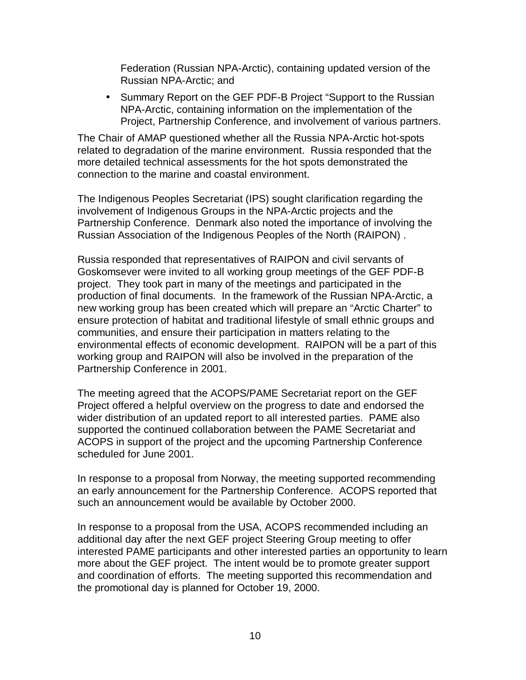Federation (Russian NPA-Arctic), containing updated version of the Russian NPA-Arctic; and

• Summary Report on the GEF PDF-B Project "Support to the Russian NPA-Arctic, containing information on the implementation of the Project, Partnership Conference, and involvement of various partners.

The Chair of AMAP questioned whether all the Russia NPA-Arctic hot-spots related to degradation of the marine environment. Russia responded that the more detailed technical assessments for the hot spots demonstrated the connection to the marine and coastal environment.

The Indigenous Peoples Secretariat (IPS) sought clarification regarding the involvement of Indigenous Groups in the NPA-Arctic projects and the Partnership Conference. Denmark also noted the importance of involving the Russian Association of the Indigenous Peoples of the North (RAIPON) .

Russia responded that representatives of RAIPON and civil servants of Goskomsever were invited to all working group meetings of the GEF PDF-B project. They took part in many of the meetings and participated in the production of final documents. In the framework of the Russian NPA-Arctic, a new working group has been created which will prepare an "Arctic Charter" to ensure protection of habitat and traditional lifestyle of small ethnic groups and communities, and ensure their participation in matters relating to the environmental effects of economic development. RAIPON will be a part of this working group and RAIPON will also be involved in the preparation of the Partnership Conference in 2001.

The meeting agreed that the ACOPS/PAME Secretariat report on the GEF Project offered a helpful overview on the progress to date and endorsed the wider distribution of an updated report to all interested parties. PAME also supported the continued collaboration between the PAME Secretariat and ACOPS in support of the project and the upcoming Partnership Conference scheduled for June 2001.

In response to a proposal from Norway, the meeting supported recommending an early announcement for the Partnership Conference. ACOPS reported that such an announcement would be available by October 2000.

In response to a proposal from the USA, ACOPS recommended including an additional day after the next GEF project Steering Group meeting to offer interested PAME participants and other interested parties an opportunity to learn more about the GEF project. The intent would be to promote greater support and coordination of efforts. The meeting supported this recommendation and the promotional day is planned for October 19, 2000.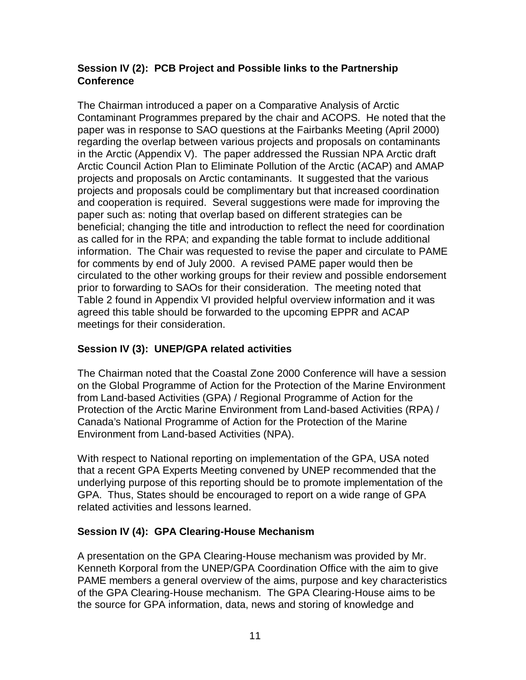### **Session IV (2): PCB Project and Possible links to the Partnership Conference**

The Chairman introduced a paper on a Comparative Analysis of Arctic Contaminant Programmes prepared by the chair and ACOPS. He noted that the paper was in response to SAO questions at the Fairbanks Meeting (April 2000) regarding the overlap between various projects and proposals on contaminants in the Arctic (Appendix V). The paper addressed the Russian NPA Arctic draft Arctic Council Action Plan to Eliminate Pollution of the Arctic (ACAP) and AMAP projects and proposals on Arctic contaminants. It suggested that the various projects and proposals could be complimentary but that increased coordination and cooperation is required. Several suggestions were made for improving the paper such as: noting that overlap based on different strategies can be beneficial; changing the title and introduction to reflect the need for coordination as called for in the RPA; and expanding the table format to include additional information. The Chair was requested to revise the paper and circulate to PAME for comments by end of July 2000. A revised PAME paper would then be circulated to the other working groups for their review and possible endorsement prior to forwarding to SAOs for their consideration. The meeting noted that Table 2 found in Appendix VI provided helpful overview information and it was agreed this table should be forwarded to the upcoming EPPR and ACAP meetings for their consideration.

### **Session IV (3): UNEP/GPA related activities**

The Chairman noted that the Coastal Zone 2000 Conference will have a session on the Global Programme of Action for the Protection of the Marine Environment from Land-based Activities (GPA) / Regional Programme of Action for the Protection of the Arctic Marine Environment from Land-based Activities (RPA) / Canada's National Programme of Action for the Protection of the Marine Environment from Land-based Activities (NPA).

With respect to National reporting on implementation of the GPA, USA noted that a recent GPA Experts Meeting convened by UNEP recommended that the underlying purpose of this reporting should be to promote implementation of the GPA. Thus, States should be encouraged to report on a wide range of GPA related activities and lessons learned.

#### **Session IV (4): GPA Clearing-House Mechanism**

A presentation on the GPA Clearing-House mechanism was provided by Mr. Kenneth Korporal from the UNEP/GPA Coordination Office with the aim to give PAME members a general overview of the aims, purpose and key characteristics of the GPA Clearing-House mechanism. The GPA Clearing-House aims to be the source for GPA information, data, news and storing of knowledge and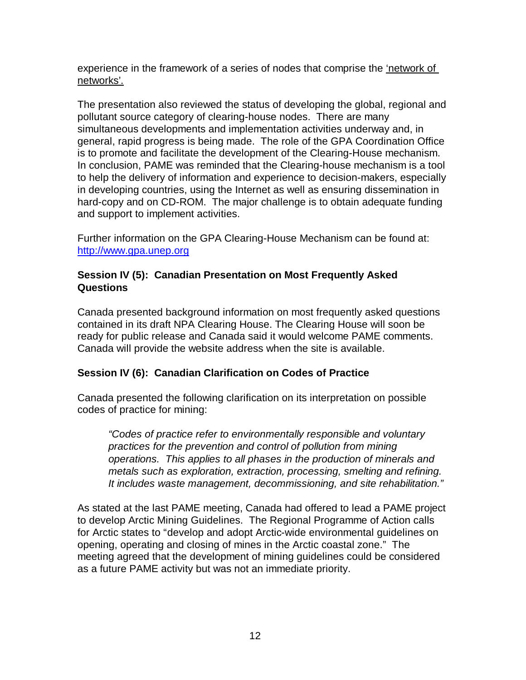experience in the framework of a series of nodes that comprise the 'network of networks'.

The presentation also reviewed the status of developing the global, regional and pollutant source category of clearing-house nodes. There are many simultaneous developments and implementation activities underway and, in general, rapid progress is being made. The role of the GPA Coordination Office is to promote and facilitate the development of the Clearing-House mechanism. In conclusion, PAME was reminded that the Clearing-house mechanism is a tool to help the delivery of information and experience to decision-makers, especially in developing countries, using the Internet as well as ensuring dissemination in hard-copy and on CD-ROM. The major challenge is to obtain adequate funding and support to implement activities.

Further information on the GPA Clearing-House Mechanism can be found at: http://www.gpa.unep.org

#### **Session IV (5): Canadian Presentation on Most Frequently Asked Questions**

Canada presented background information on most frequently asked questions contained in its draft NPA Clearing House. The Clearing House will soon be ready for public release and Canada said it would welcome PAME comments. Canada will provide the website address when the site is available.

#### **Session IV (6): Canadian Clarification on Codes of Practice**

Canada presented the following clarification on its interpretation on possible codes of practice for mining:

"Codes of practice refer to environmentally responsible and voluntary practices for the prevention and control of pollution from mining operations. This applies to all phases in the production of minerals and metals such as exploration, extraction, processing, smelting and refining. It includes waste management, decommissioning, and site rehabilitation."

As stated at the last PAME meeting, Canada had offered to lead a PAME project to develop Arctic Mining Guidelines. The Regional Programme of Action calls for Arctic states to "develop and adopt Arctic-wide environmental guidelines on opening, operating and closing of mines in the Arctic coastal zone." The meeting agreed that the development of mining guidelines could be considered as a future PAME activity but was not an immediate priority.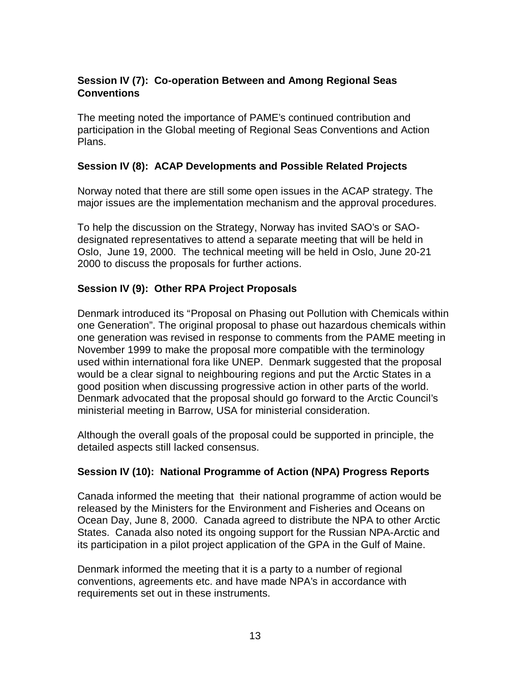### **Session IV (7): Co-operation Between and Among Regional Seas Conventions**

The meeting noted the importance of PAME's continued contribution and participation in the Global meeting of Regional Seas Conventions and Action Plans.

#### **Session IV (8): ACAP Developments and Possible Related Projects**

Norway noted that there are still some open issues in the ACAP strategy. The major issues are the implementation mechanism and the approval procedures.

To help the discussion on the Strategy, Norway has invited SAO's or SAOdesignated representatives to attend a separate meeting that will be held in Oslo, June 19, 2000. The technical meeting will be held in Oslo, June 20-21 2000 to discuss the proposals for further actions.

#### **Session IV (9): Other RPA Project Proposals**

Denmark introduced its "Proposal on Phasing out Pollution with Chemicals within one Generation". The original proposal to phase out hazardous chemicals within one generation was revised in response to comments from the PAME meeting in November 1999 to make the proposal more compatible with the terminology used within international fora like UNEP. Denmark suggested that the proposal would be a clear signal to neighbouring regions and put the Arctic States in a good position when discussing progressive action in other parts of the world. Denmark advocated that the proposal should go forward to the Arctic Council's ministerial meeting in Barrow, USA for ministerial consideration.

Although the overall goals of the proposal could be supported in principle, the detailed aspects still lacked consensus.

#### **Session IV (10): National Programme of Action (NPA) Progress Reports**

Canada informed the meeting that their national programme of action would be released by the Ministers for the Environment and Fisheries and Oceans on Ocean Day, June 8, 2000. Canada agreed to distribute the NPA to other Arctic States. Canada also noted its ongoing support for the Russian NPA-Arctic and its participation in a pilot project application of the GPA in the Gulf of Maine.

Denmark informed the meeting that it is a party to a number of regional conventions, agreements etc. and have made NPA's in accordance with requirements set out in these instruments.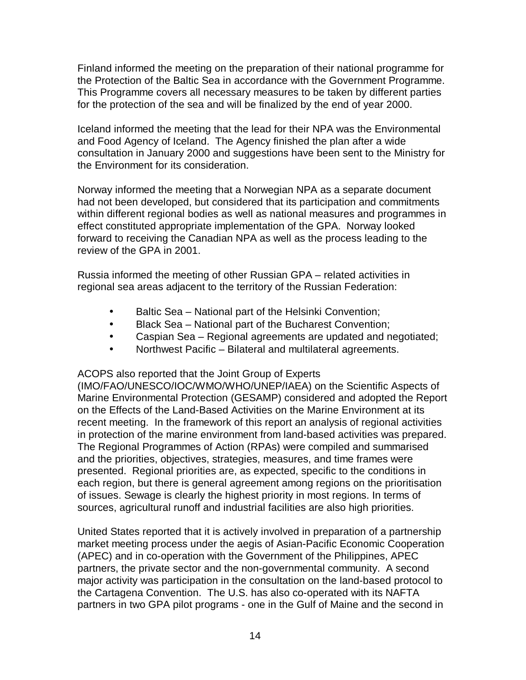Finland informed the meeting on the preparation of their national programme for the Protection of the Baltic Sea in accordance with the Government Programme. This Programme covers all necessary measures to be taken by different parties for the protection of the sea and will be finalized by the end of year 2000.

Iceland informed the meeting that the lead for their NPA was the Environmental and Food Agency of Iceland. The Agency finished the plan after a wide consultation in January 2000 and suggestions have been sent to the Ministry for the Environment for its consideration.

Norway informed the meeting that a Norwegian NPA as a separate document had not been developed, but considered that its participation and commitments within different regional bodies as well as national measures and programmes in effect constituted appropriate implementation of the GPA. Norway looked forward to receiving the Canadian NPA as well as the process leading to the review of the GPA in 2001.

Russia informed the meeting of other Russian GPA – related activities in regional sea areas adjacent to the territory of the Russian Federation:

- Baltic Sea National part of the Helsinki Convention;
- Black Sea National part of the Bucharest Convention;
- Caspian Sea Regional agreements are updated and negotiated;
- Northwest Pacific Bilateral and multilateral agreements.

ACOPS also reported that the Joint Group of Experts

(IMO/FAO/UNESCO/IOC/WMO/WHO/UNEP/IAEA) on the Scientific Aspects of Marine Environmental Protection (GESAMP) considered and adopted the Report on the Effects of the Land-Based Activities on the Marine Environment at its recent meeting. In the framework of this report an analysis of regional activities in protection of the marine environment from land-based activities was prepared. The Regional Programmes of Action (RPAs) were compiled and summarised and the priorities, objectives, strategies, measures, and time frames were presented. Regional priorities are, as expected, specific to the conditions in each region, but there is general agreement among regions on the prioritisation of issues. Sewage is clearly the highest priority in most regions. In terms of sources, agricultural runoff and industrial facilities are also high priorities.

United States reported that it is actively involved in preparation of a partnership market meeting process under the aegis of Asian-Pacific Economic Cooperation (APEC) and in co-operation with the Government of the Philippines, APEC partners, the private sector and the non-governmental community. A second major activity was participation in the consultation on the land-based protocol to the Cartagena Convention. The U.S. has also co-operated with its NAFTA partners in two GPA pilot programs - one in the Gulf of Maine and the second in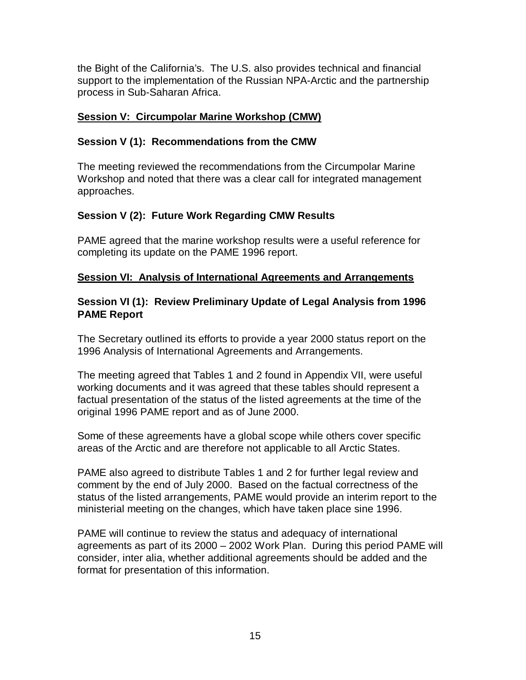the Bight of the California's. The U.S. also provides technical and financial support to the implementation of the Russian NPA-Arctic and the partnership process in Sub-Saharan Africa.

### **Session V: Circumpolar Marine Workshop (CMW)**

#### **Session V (1): Recommendations from the CMW**

The meeting reviewed the recommendations from the Circumpolar Marine Workshop and noted that there was a clear call for integrated management approaches.

#### **Session V (2): Future Work Regarding CMW Results**

PAME agreed that the marine workshop results were a useful reference for completing its update on the PAME 1996 report.

#### **Session VI: Analysis of International Agreements and Arrangements**

#### **Session VI (1): Review Preliminary Update of Legal Analysis from 1996 PAME Report**

The Secretary outlined its efforts to provide a year 2000 status report on the 1996 Analysis of International Agreements and Arrangements.

The meeting agreed that Tables 1 and 2 found in Appendix VII, were useful working documents and it was agreed that these tables should represent a factual presentation of the status of the listed agreements at the time of the original 1996 PAME report and as of June 2000.

Some of these agreements have a global scope while others cover specific areas of the Arctic and are therefore not applicable to all Arctic States.

PAME also agreed to distribute Tables 1 and 2 for further legal review and comment by the end of July 2000. Based on the factual correctness of the status of the listed arrangements, PAME would provide an interim report to the ministerial meeting on the changes, which have taken place sine 1996.

PAME will continue to review the status and adequacy of international agreements as part of its 2000 – 2002 Work Plan. During this period PAME will consider, inter alia, whether additional agreements should be added and the format for presentation of this information.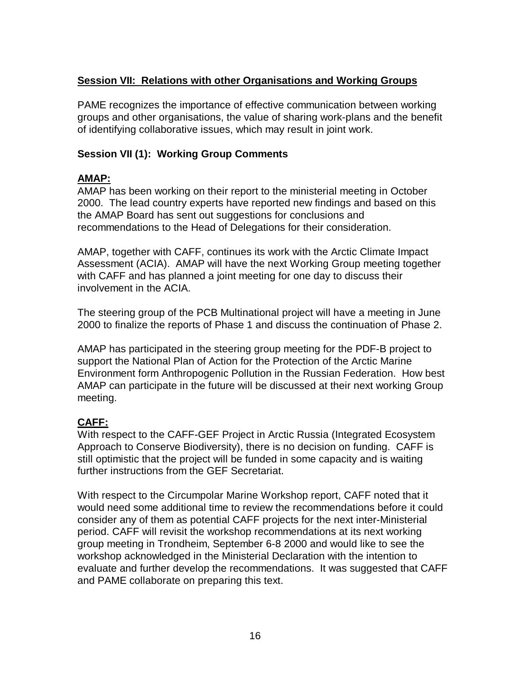### **Session VII: Relations with other Organisations and Working Groups**

PAME recognizes the importance of effective communication between working groups and other organisations, the value of sharing work-plans and the benefit of identifying collaborative issues, which may result in joint work.

### **Session VII (1): Working Group Comments**

### **AMAP:**

AMAP has been working on their report to the ministerial meeting in October 2000. The lead country experts have reported new findings and based on this the AMAP Board has sent out suggestions for conclusions and recommendations to the Head of Delegations for their consideration.

AMAP, together with CAFF, continues its work with the Arctic Climate Impact Assessment (ACIA). AMAP will have the next Working Group meeting together with CAFF and has planned a joint meeting for one day to discuss their involvement in the ACIA.

The steering group of the PCB Multinational project will have a meeting in June 2000 to finalize the reports of Phase 1 and discuss the continuation of Phase 2.

AMAP has participated in the steering group meeting for the PDF-B project to support the National Plan of Action for the Protection of the Arctic Marine Environment form Anthropogenic Pollution in the Russian Federation. How best AMAP can participate in the future will be discussed at their next working Group meeting.

### **CAFF:**

With respect to the CAFF-GEF Project in Arctic Russia (Integrated Ecosystem Approach to Conserve Biodiversity), there is no decision on funding. CAFF is still optimistic that the project will be funded in some capacity and is waiting further instructions from the GEF Secretariat.

With respect to the Circumpolar Marine Workshop report, CAFF noted that it would need some additional time to review the recommendations before it could consider any of them as potential CAFF projects for the next inter-Ministerial period. CAFF will revisit the workshop recommendations at its next working group meeting in Trondheim, September 6-8 2000 and would like to see the workshop acknowledged in the Ministerial Declaration with the intention to evaluate and further develop the recommendations. It was suggested that CAFF and PAME collaborate on preparing this text.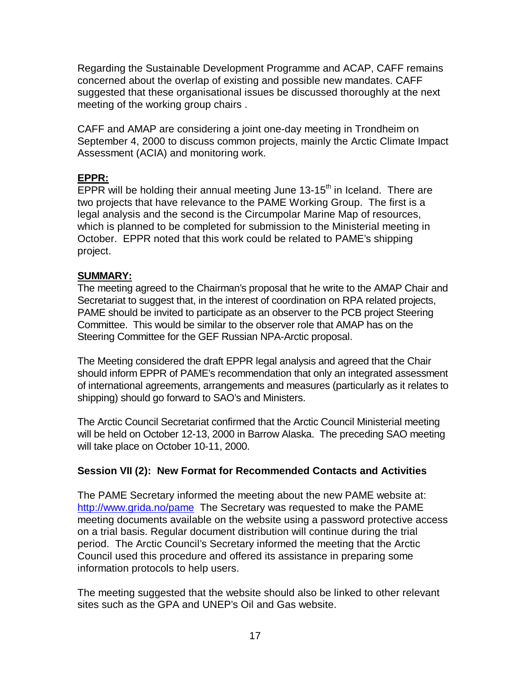Regarding the Sustainable Development Programme and ACAP, CAFF remains concerned about the overlap of existing and possible new mandates. CAFF suggested that these organisational issues be discussed thoroughly at the next meeting of the working group chairs .

CAFF and AMAP are considering a joint one-day meeting in Trondheim on September 4, 2000 to discuss common projects, mainly the Arctic Climate Impact Assessment (ACIA) and monitoring work.

### **EPPR:**

 $\overline{\rm EPPR}$  will be holding their annual meeting June 13-15<sup>th</sup> in Iceland. There are two projects that have relevance to the PAME Working Group. The first is a legal analysis and the second is the Circumpolar Marine Map of resources, which is planned to be completed for submission to the Ministerial meeting in October. EPPR noted that this work could be related to PAME's shipping project.

### **SUMMARY:**

The meeting agreed to the Chairman's proposal that he write to the AMAP Chair and Secretariat to suggest that, in the interest of coordination on RPA related projects, PAME should be invited to participate as an observer to the PCB project Steering Committee. This would be similar to the observer role that AMAP has on the Steering Committee for the GEF Russian NPA-Arctic proposal.

The Meeting considered the draft EPPR legal analysis and agreed that the Chair should inform EPPR of PAME's recommendation that only an integrated assessment of international agreements, arrangements and measures (particularly as it relates to shipping) should go forward to SAO's and Ministers.

The Arctic Council Secretariat confirmed that the Arctic Council Ministerial meeting will be held on October 12-13, 2000 in Barrow Alaska. The preceding SAO meeting will take place on October 10-11, 2000.

### **Session VII (2): New Format for Recommended Contacts and Activities**

The PAME Secretary informed the meeting about the new PAME website at: http://www.grida.no/pame The Secretary was requested to make the PAME meeting documents available on the website using a password protective access on a trial basis. Regular document distribution will continue during the trial period. The Arctic Council's Secretary informed the meeting that the Arctic Council used this procedure and offered its assistance in preparing some information protocols to help users.

The meeting suggested that the website should also be linked to other relevant sites such as the GPA and UNEP's Oil and Gas website.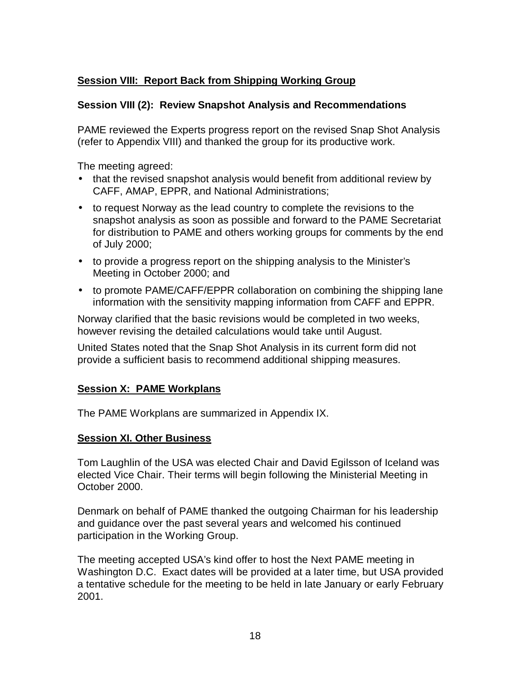### **Session VIII: Report Back from Shipping Working Group**

### **Session VIII (2): Review Snapshot Analysis and Recommendations**

PAME reviewed the Experts progress report on the revised Snap Shot Analysis (refer to Appendix VIII) and thanked the group for its productive work.

The meeting agreed:

- that the revised snapshot analysis would benefit from additional review by CAFF, AMAP, EPPR, and National Administrations;
- to request Norway as the lead country to complete the revisions to the snapshot analysis as soon as possible and forward to the PAME Secretariat for distribution to PAME and others working groups for comments by the end of July 2000;
- to provide a progress report on the shipping analysis to the Minister's Meeting in October 2000; and
- to promote PAME/CAFF/EPPR collaboration on combining the shipping lane information with the sensitivity mapping information from CAFF and EPPR.

Norway clarified that the basic revisions would be completed in two weeks, however revising the detailed calculations would take until August.

United States noted that the Snap Shot Analysis in its current form did not provide a sufficient basis to recommend additional shipping measures.

#### **Session X: PAME Workplans**

The PAME Workplans are summarized in Appendix IX.

#### **Session XI. Other Business**

Tom Laughlin of the USA was elected Chair and David Egilsson of Iceland was elected Vice Chair. Their terms will begin following the Ministerial Meeting in October 2000.

Denmark on behalf of PAME thanked the outgoing Chairman for his leadership and guidance over the past several years and welcomed his continued participation in the Working Group.

The meeting accepted USA's kind offer to host the Next PAME meeting in Washington D.C. Exact dates will be provided at a later time, but USA provided a tentative schedule for the meeting to be held in late January or early February 2001.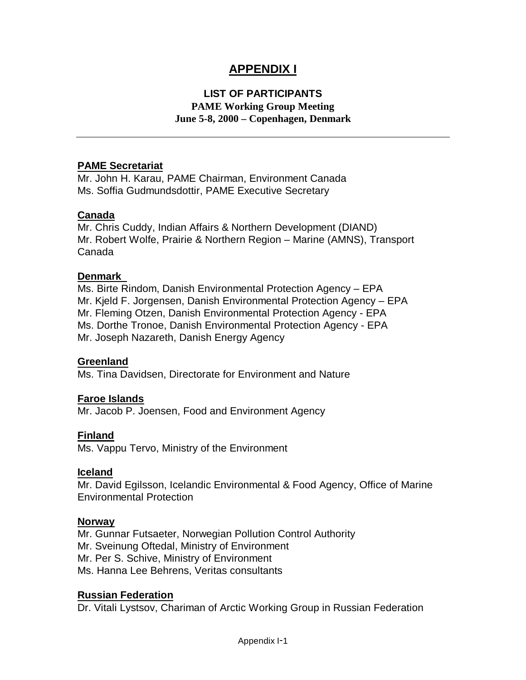### **APPENDIX I**

### **LIST OF PARTICIPANTS**

**PAME Working Group Meeting June 5-8, 2000 – Copenhagen, Denmark**

#### **PAME Secretariat**

Mr. John H. Karau, PAME Chairman, Environment Canada Ms. Soffia Gudmundsdottir, PAME Executive Secretary

#### **Canada**

Mr. Chris Cuddy, Indian Affairs & Northern Development (DIAND) Mr. Robert Wolfe, Prairie & Northern Region – Marine (AMNS), Transport Canada

#### **Denmark**

Ms. Birte Rindom, Danish Environmental Protection Agency – EPA Mr. Kjeld F. Jorgensen, Danish Environmental Protection Agency – EPA Mr. Fleming Otzen, Danish Environmental Protection Agency - EPA Ms. Dorthe Tronoe, Danish Environmental Protection Agency - EPA Mr. Joseph Nazareth, Danish Energy Agency

#### **Greenland**

Ms. Tina Davidsen, Directorate for Environment and Nature

#### **Faroe Islands**

Mr. Jacob P. Joensen, Food and Environment Agency

#### **Finland**

Ms. Vappu Tervo, Ministry of the Environment

#### **Iceland**

Mr. David Egilsson, Icelandic Environmental & Food Agency, Office of Marine Environmental Protection

#### **Norway**

Mr. Gunnar Futsaeter, Norwegian Pollution Control Authority Mr. Sveinung Oftedal, Ministry of Environment Mr. Per S. Schive, Ministry of Environment Ms. Hanna Lee Behrens, Veritas consultants

#### **Russian Federation**

Dr. Vitali Lystsov, Chariman of Arctic Working Group in Russian Federation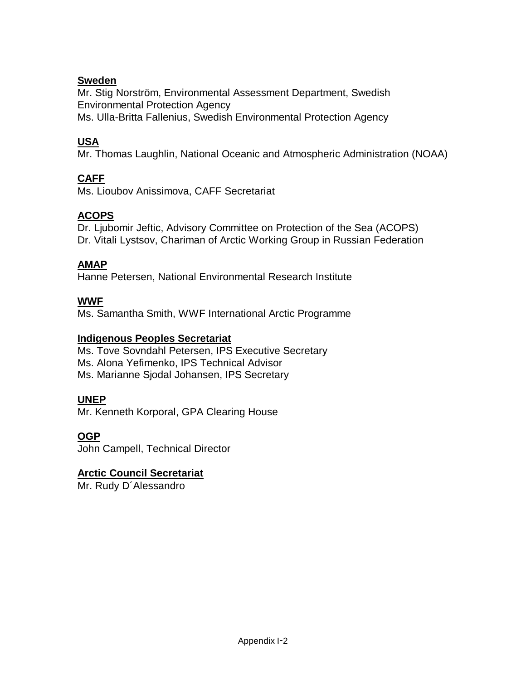### **Sweden**

Mr. Stig Norström, Environmental Assessment Department, Swedish Environmental Protection Agency Ms. Ulla-Britta Fallenius, Swedish Environmental Protection Agency

### **USA**

Mr. Thomas Laughlin, National Oceanic and Atmospheric Administration (NOAA)

### **CAFF**

Ms. Lioubov Anissimova, CAFF Secretariat

### **ACOPS**

Dr. Ljubomir Jeftic, Advisory Committee on Protection of the Sea (ACOPS) Dr. Vitali Lystsov, Chariman of Arctic Working Group in Russian Federation

### **AMAP**

Hanne Petersen, National Environmental Research Institute

### **WWF**

Ms. Samantha Smith, WWF International Arctic Programme

#### **Indigenous Peoples Secretariat**

Ms. Tove Sovndahl Petersen, IPS Executive Secretary Ms. Alona Yefimenko, IPS Technical Advisor Ms. Marianne Sjodal Johansen, IPS Secretary

#### **UNEP**

Mr. Kenneth Korporal, GPA Clearing House

#### **OGP**

John Campell, Technical Director

#### **Arctic Council Secretariat**

Mr. Rudy D´Alessandro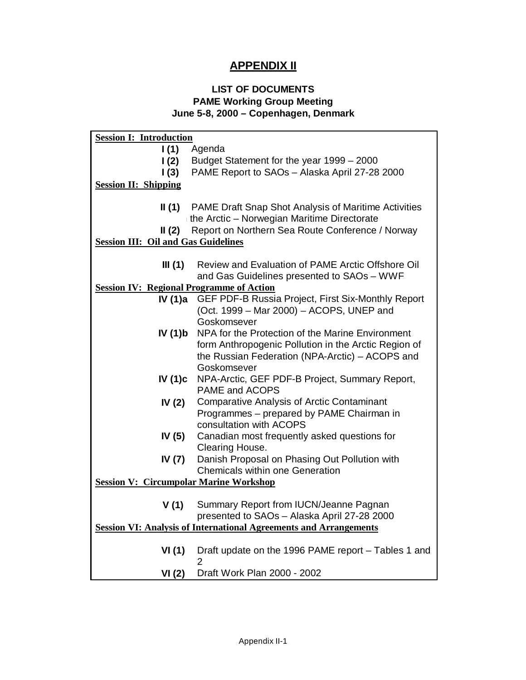### **APPENDIX II**

#### **LIST OF DOCUMENTS PAME Working Group Meeting June 5-8, 2000 – Copenhagen, Denmark**

| <b>Session I: Introduction</b>                  |                                                                          |  |  |  |  |  |
|-------------------------------------------------|--------------------------------------------------------------------------|--|--|--|--|--|
| 1(1)                                            | Agenda                                                                   |  |  |  |  |  |
| $\mathsf{I}(2)$                                 | Budget Statement for the year 1999 - 2000                                |  |  |  |  |  |
| $\mathsf{I}(3)$                                 | PAME Report to SAOs - Alaska April 27-28 2000                            |  |  |  |  |  |
| <b>Session II: Shipping</b>                     |                                                                          |  |  |  |  |  |
|                                                 |                                                                          |  |  |  |  |  |
| II(1)                                           | PAME Draft Snap Shot Analysis of Maritime Activities                     |  |  |  |  |  |
|                                                 | the Arctic - Norwegian Maritime Directorate                              |  |  |  |  |  |
| II $(2)$                                        | Report on Northern Sea Route Conference / Norway                         |  |  |  |  |  |
| <b>Session III: Oil and Gas Guidelines</b>      |                                                                          |  |  |  |  |  |
|                                                 |                                                                          |  |  |  |  |  |
| III $(1)$                                       | Review and Evaluation of PAME Arctic Offshore Oil                        |  |  |  |  |  |
|                                                 | and Gas Guidelines presented to SAOs - WWF                               |  |  |  |  |  |
| <b>Session IV: Regional Programme of Action</b> |                                                                          |  |  |  |  |  |
| IV (1)a                                         | GEF PDF-B Russia Project, First Six-Monthly Report                       |  |  |  |  |  |
|                                                 | (Oct. 1999 - Mar 2000) - ACOPS, UNEP and                                 |  |  |  |  |  |
|                                                 | Goskomsever                                                              |  |  |  |  |  |
| IV(1)b                                          | NPA for the Protection of the Marine Environment                         |  |  |  |  |  |
|                                                 | form Anthropogenic Pollution in the Arctic Region of                     |  |  |  |  |  |
|                                                 | the Russian Federation (NPA-Arctic) - ACOPS and                          |  |  |  |  |  |
|                                                 | Goskomsever                                                              |  |  |  |  |  |
| IV (1)c                                         | NPA-Arctic, GEF PDF-B Project, Summary Report,                           |  |  |  |  |  |
|                                                 | PAME and ACOPS                                                           |  |  |  |  |  |
| IV $(2)$                                        | <b>Comparative Analysis of Arctic Contaminant</b>                        |  |  |  |  |  |
|                                                 | Programmes - prepared by PAME Chairman in                                |  |  |  |  |  |
|                                                 | consultation with ACOPS                                                  |  |  |  |  |  |
| IV $(5)$                                        | Canadian most frequently asked questions for                             |  |  |  |  |  |
|                                                 | Clearing House.                                                          |  |  |  |  |  |
| IV (7)                                          | Danish Proposal on Phasing Out Pollution with                            |  |  |  |  |  |
|                                                 | <b>Chemicals within one Generation</b>                                   |  |  |  |  |  |
| <b>Session V: Circumpolar Marine Workshop</b>   |                                                                          |  |  |  |  |  |
|                                                 |                                                                          |  |  |  |  |  |
| V(1)                                            | Summary Report from IUCN/Jeanne Pagnan                                   |  |  |  |  |  |
|                                                 | presented to SAOs - Alaska April 27-28 2000                              |  |  |  |  |  |
|                                                 | <b>Session VI: Analysis of International Agreements and Arrangements</b> |  |  |  |  |  |
|                                                 |                                                                          |  |  |  |  |  |
| VI(1)                                           | Draft update on the 1996 PAME report - Tables 1 and                      |  |  |  |  |  |
|                                                 | $\overline{2}$                                                           |  |  |  |  |  |
| VI(2)                                           | Draft Work Plan 2000 - 2002                                              |  |  |  |  |  |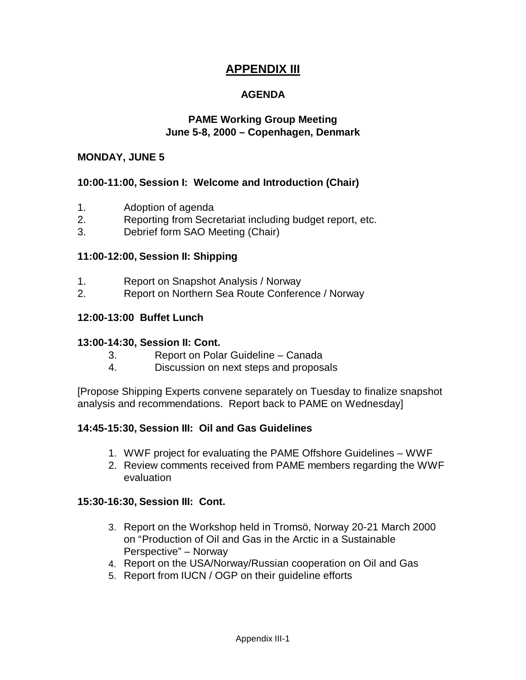### **APPENDIX III**

### **AGENDA**

#### **PAME Working Group Meeting June 5-8, 2000 – Copenhagen, Denmark**

#### **MONDAY, JUNE 5**

#### **10:00-11:00, Session I: Welcome and Introduction (Chair)**

- 1. Adoption of agenda
- 2. Reporting from Secretariat including budget report, etc.
- 3. Debrief form SAO Meeting (Chair)

#### **11:00-12:00, Session II: Shipping**

- 1. Report on Snapshot Analysis / Norway
- 2. Report on Northern Sea Route Conference / Norway

#### **12:00-13:00 Buffet Lunch**

#### **13:00-14:30, Session II: Cont.**

- 3. Report on Polar Guideline Canada
- 4. Discussion on next steps and proposals

[Propose Shipping Experts convene separately on Tuesday to finalize snapshot analysis and recommendations. Report back to PAME on Wednesday]

#### **14:45-15:30, Session III: Oil and Gas Guidelines**

- 1. WWF project for evaluating the PAME Offshore Guidelines WWF
- 2. Review comments received from PAME members regarding the WWF evaluation

#### **15:30-16:30, Session III: Cont.**

- 3. Report on the Workshop held in Tromsö, Norway 20-21 March 2000 on "Production of Oil and Gas in the Arctic in a Sustainable Perspective" – Norway
- 4. Report on the USA/Norway/Russian cooperation on Oil and Gas
- 5. Report from IUCN / OGP on their guideline efforts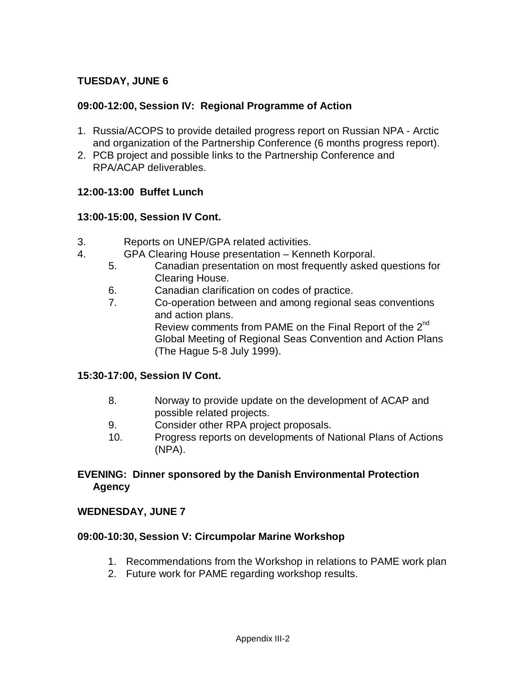### **TUESDAY, JUNE 6**

#### **09:00-12:00, Session IV: Regional Programme of Action**

- 1. Russia/ACOPS to provide detailed progress report on Russian NPA Arctic and organization of the Partnership Conference (6 months progress report).
- 2. PCB project and possible links to the Partnership Conference and RPA/ACAP deliverables.

#### **12:00-13:00 Buffet Lunch**

#### **13:00-15:00, Session IV Cont.**

- 3. Reports on UNEP/GPA related activities.
- 4. GPA Clearing House presentation Kenneth Korporal.
	- 5. Canadian presentation on most frequently asked questions for Clearing House.
	- 6. Canadian clarification on codes of practice.
	- 7. Co-operation between and among regional seas conventions and action plans. Review comments from PAME on the Final Report of the  $2^{nd}$ Global Meeting of Regional Seas Convention and Action Plans (The Hague 5-8 July 1999).

#### **15:30-17:00, Session IV Cont.**

- 8. Norway to provide update on the development of ACAP and possible related projects.
- 9. Consider other RPA project proposals.
- 10. Progress reports on developments of National Plans of Actions (NPA).

#### **EVENING: Dinner sponsored by the Danish Environmental Protection Agency**

#### **WEDNESDAY, JUNE 7**

#### **09:00-10:30, Session V: Circumpolar Marine Workshop**

- 1. Recommendations from the Workshop in relations to PAME work plan
- 2. Future work for PAME regarding workshop results.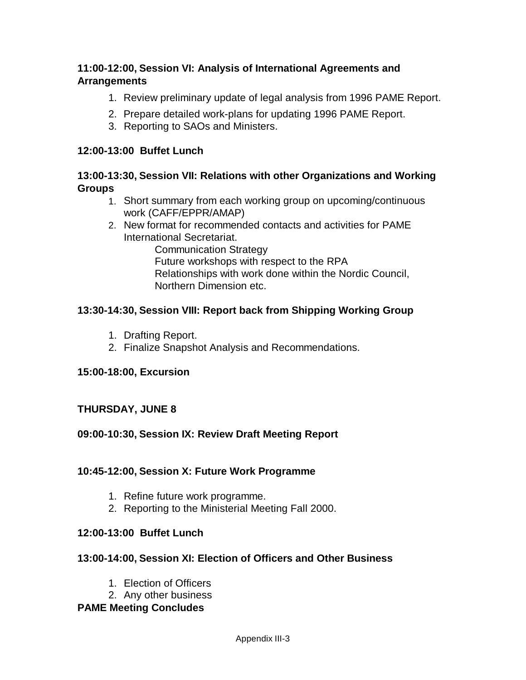#### **11:00-12:00, Session VI: Analysis of International Agreements and Arrangements**

- 1. Review preliminary update of legal analysis from 1996 PAME Report.
- 2. Prepare detailed work-plans for updating 1996 PAME Report.
- 3. Reporting to SAOs and Ministers.

#### **12:00-13:00 Buffet Lunch**

#### **13:00-13:30, Session VII: Relations with other Organizations and Working Groups**

- 1. Short summary from each working group on upcoming/continuous work (CAFF/EPPR/AMAP)
- 2. New format for recommended contacts and activities for PAME International Secretariat.

Communication Strategy Future workshops with respect to the RPA Relationships with work done within the Nordic Council, Northern Dimension etc.

#### **13:30-14:30, Session VIII: Report back from Shipping Working Group**

- 1. Drafting Report.
- 2. Finalize Snapshot Analysis and Recommendations.

#### **15:00-18:00, Excursion**

#### **THURSDAY, JUNE 8**

#### **09:00-10:30, Session IX: Review Draft Meeting Report**

#### **10:45-12:00, Session X: Future Work Programme**

- 1. Refine future work programme.
- 2. Reporting to the Ministerial Meeting Fall 2000.

#### **12:00-13:00 Buffet Lunch**

#### **13:00-14:00, Session XI: Election of Officers and Other Business**

- 1. Election of Officers
- 2. Any other business

#### **PAME Meeting Concludes**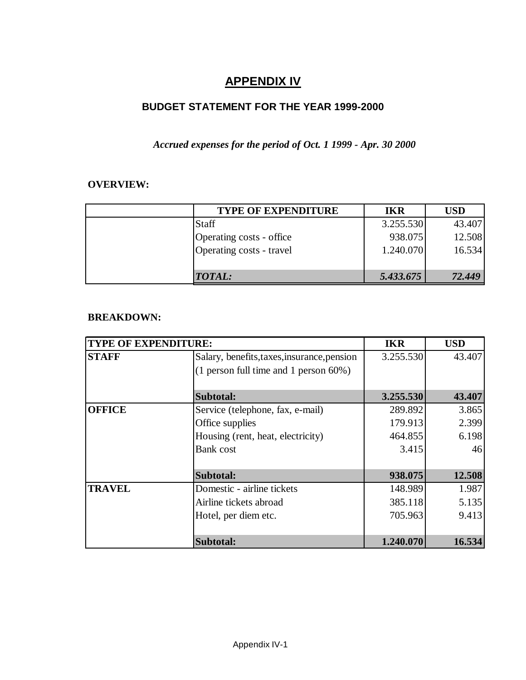### **APPENDIX IV**

### **BUDGET STATEMENT FOR THE YEAR 1999-2000**

### *Accrued expenses for the period of Oct. 1 1999 - Apr. 30 2000*

#### **OVERVIEW:**

| <b>TYPE OF EXPENDITURE</b> | IKR       | <b>USD</b> |
|----------------------------|-----------|------------|
| <b>Staff</b>               | 3.255.530 | 43.407     |
| Operating costs - office   | 938.075   | 12.508     |
| Operating costs - travel   | 1.240.070 | 16.534     |
|                            |           |            |
| <b>TOTAL:</b>              | 5.433.675 | 72.449     |

#### **BREAKDOWN:**

| <b>TYPE OF EXPENDITURE:</b> | <b>IKR</b>                                  | <b>USD</b> |        |
|-----------------------------|---------------------------------------------|------------|--------|
| <b>STAFF</b>                | Salary, benefits, taxes, insurance, pension | 3.255.530  | 43.407 |
|                             | $(1$ person full time and 1 person 60%)     |            |        |
|                             | Subtotal:                                   | 3.255.530  | 43.407 |
| <b>OFFICE</b>               | Service (telephone, fax, e-mail)            | 289.892    | 3.865  |
|                             | Office supplies                             | 179.913    | 2.399  |
|                             | 464.855                                     | 6.198      |        |
|                             | <b>Bank</b> cost                            | 3.415      | 46     |
|                             | Subtotal:                                   | 938.075    | 12.508 |
| <b>TRAVEL</b>               | Domestic - airline tickets                  | 148.989    | 1.987  |
|                             | Airline tickets abroad                      | 385.118    | 5.135  |
|                             | Hotel, per diem etc.                        | 705.963    | 9.413  |
|                             | Subtotal:                                   | 1.240.070  | 16.534 |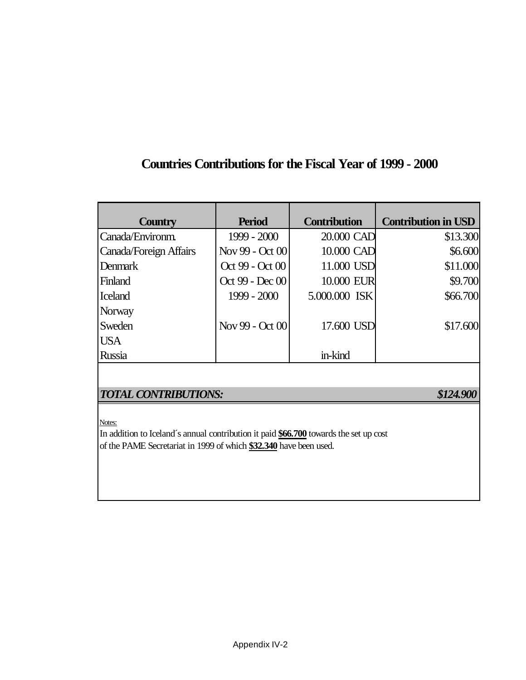## **Countries Contributions for the Fiscal Year of 1999 - 2000**

| <b>Country</b>         | <b>Period</b>   | <b>Contribution</b> | <b>Contribution in USD</b> |
|------------------------|-----------------|---------------------|----------------------------|
| Canada/Environm.       | $1999 - 2000$   | 20.000 CAD          | \$13.300                   |
| Canada/Foreign Affairs | Nov 99 - Oct 00 | 10.000 CAD          | \$6.600                    |
| <b>Denmark</b>         | Oct 99 - Oct 00 | 11.000 USD          | \$11.000                   |
| Finland                | Oct 99 - Dec 00 | 10.000 EUR          | \$9.700                    |
| <b>Iceland</b>         | $1999 - 2000$   | 5.000.000 ISK       | \$66.700                   |
| Norway                 |                 |                     |                            |
| Sweden                 | Nov 99 - Oct 00 | 17.600 USD          | \$17.600                   |
| <b>USA</b>             |                 |                     |                            |
| <b>Russia</b>          |                 | in-kind             |                            |

### *TOTAL CONTRIBUTIONS: \$124.900*

Notes:

In addition to Iceland´s annual contribution it paid **\$66.700** towards the set up cost of the PAME Secretariat in 1999 of which **\$32.340** have been used.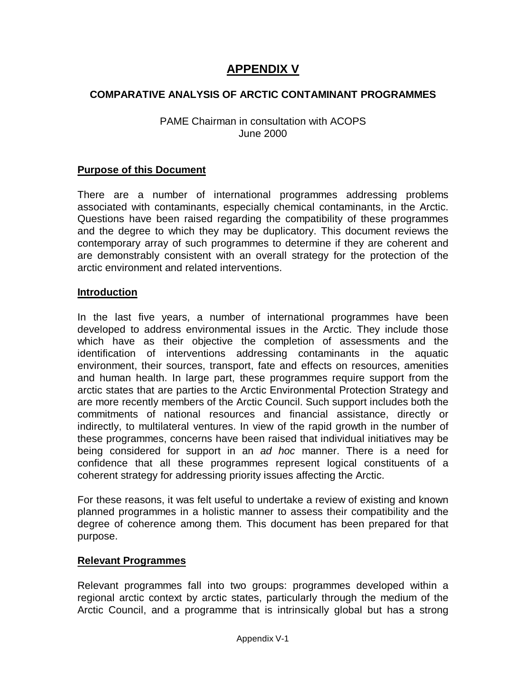### **APPENDIX V**

#### **COMPARATIVE ANALYSIS OF ARCTIC CONTAMINANT PROGRAMMES**

#### PAME Chairman in consultation with ACOPS June 2000

#### **Purpose of this Document**

There are a number of international programmes addressing problems associated with contaminants, especially chemical contaminants, in the Arctic. Questions have been raised regarding the compatibility of these programmes and the degree to which they may be duplicatory. This document reviews the contemporary array of such programmes to determine if they are coherent and are demonstrably consistent with an overall strategy for the protection of the arctic environment and related interventions.

#### **Introduction**

In the last five years, a number of international programmes have been developed to address environmental issues in the Arctic. They include those which have as their objective the completion of assessments and the identification of interventions addressing contaminants in the aquatic environment, their sources, transport, fate and effects on resources, amenities and human health. In large part, these programmes require support from the arctic states that are parties to the Arctic Environmental Protection Strategy and are more recently members of the Arctic Council. Such support includes both the commitments of national resources and financial assistance, directly or indirectly, to multilateral ventures. In view of the rapid growth in the number of these programmes, concerns have been raised that individual initiatives may be being considered for support in an ad hoc manner. There is a need for confidence that all these programmes represent logical constituents of a coherent strategy for addressing priority issues affecting the Arctic.

For these reasons, it was felt useful to undertake a review of existing and known planned programmes in a holistic manner to assess their compatibility and the degree of coherence among them. This document has been prepared for that purpose.

#### **Relevant Programmes**

Relevant programmes fall into two groups: programmes developed within a regional arctic context by arctic states, particularly through the medium of the Arctic Council, and a programme that is intrinsically global but has a strong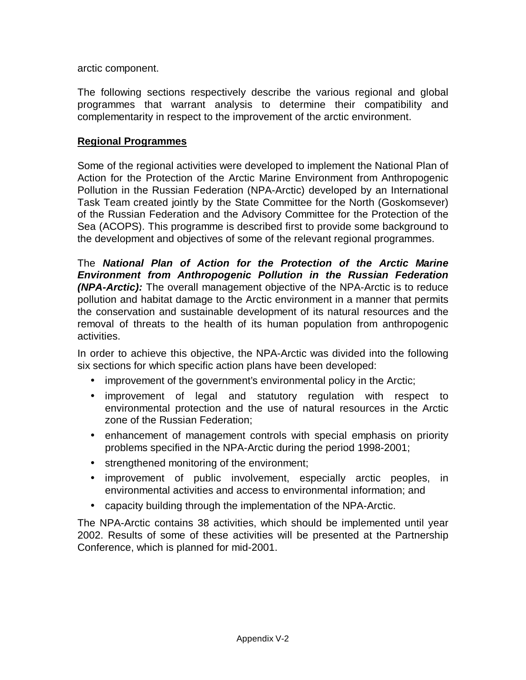arctic component.

The following sections respectively describe the various regional and global programmes that warrant analysis to determine their compatibility and complementarity in respect to the improvement of the arctic environment.

#### **Regional Programmes**

Some of the regional activities were developed to implement the National Plan of Action for the Protection of the Arctic Marine Environment from Anthropogenic Pollution in the Russian Federation (NPA-Arctic) developed by an International Task Team created jointly by the State Committee for the North (Goskomsever) of the Russian Federation and the Advisory Committee for the Protection of the Sea (ACOPS). This programme is described first to provide some background to the development and objectives of some of the relevant regional programmes.

The **National Plan of Action for the Protection of the Arctic Marine Environment from Anthropogenic Pollution in the Russian Federation (NPA-Arctic):** The overall management objective of the NPA-Arctic is to reduce pollution and habitat damage to the Arctic environment in a manner that permits the conservation and sustainable development of its natural resources and the removal of threats to the health of its human population from anthropogenic activities.

In order to achieve this objective, the NPA-Arctic was divided into the following six sections for which specific action plans have been developed:

- improvement of the government's environmental policy in the Arctic;
- improvement of legal and statutory regulation with respect to environmental protection and the use of natural resources in the Arctic zone of the Russian Federation;
- enhancement of management controls with special emphasis on priority problems specified in the NPA-Arctic during the period 1998-2001;
- strengthened monitoring of the environment;
- improvement of public involvement, especially arctic peoples, in environmental activities and access to environmental information; and
- capacity building through the implementation of the NPA-Arctic.

The NPA-Arctic contains 38 activities, which should be implemented until year 2002. Results of some of these activities will be presented at the Partnership Conference, which is planned for mid-2001.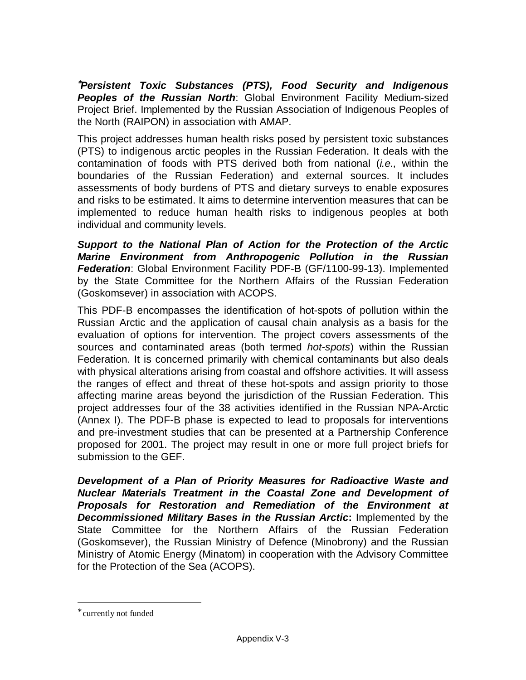<sup>∗</sup>**Persistent Toxic Substances (PTS), Food Security and Indigenous Peoples of the Russian North:** Global Environment Facility Medium-sized Project Brief. Implemented by the Russian Association of Indigenous Peoples of the North (RAIPON) in association with AMAP.

This project addresses human health risks posed by persistent toxic substances (PTS) to indigenous arctic peoples in the Russian Federation. It deals with the contamination of foods with PTS derived both from national (i.e., within the boundaries of the Russian Federation) and external sources. It includes assessments of body burdens of PTS and dietary surveys to enable exposures and risks to be estimated. It aims to determine intervention measures that can be implemented to reduce human health risks to indigenous peoples at both individual and community levels.

**Support to the National Plan of Action for the Protection of the Arctic Marine Environment from Anthropogenic Pollution in the Russian Federation**: Global Environment Facility PDF-B (GF/1100-99-13). Implemented by the State Committee for the Northern Affairs of the Russian Federation (Goskomsever) in association with ACOPS.

This PDF-B encompasses the identification of hot-spots of pollution within the Russian Arctic and the application of causal chain analysis as a basis for the evaluation of options for intervention. The project covers assessments of the sources and contaminated areas (both termed *hot-spots*) within the Russian Federation. It is concerned primarily with chemical contaminants but also deals with physical alterations arising from coastal and offshore activities. It will assess the ranges of effect and threat of these hot-spots and assign priority to those affecting marine areas beyond the jurisdiction of the Russian Federation. This project addresses four of the 38 activities identified in the Russian NPA-Arctic (Annex I). The PDF-B phase is expected to lead to proposals for interventions and pre-investment studies that can be presented at a Partnership Conference proposed for 2001. The project may result in one or more full project briefs for submission to the GEF.

**Development of a Plan of Priority Measures for Radioactive Waste and Nuclear Materials Treatment in the Coastal Zone and Development of Proposals for Restoration and Remediation of the Environment at Decommissioned Military Bases in the Russian Arctic:** Implemented by the State Committee for the Northern Affairs of the Russian Federation (Goskomsever), the Russian Ministry of Defence (Minobrony) and the Russian Ministry of Atomic Energy (Minatom) in cooperation with the Advisory Committee for the Protection of the Sea (ACOPS).

l

<sup>∗</sup> currently not funded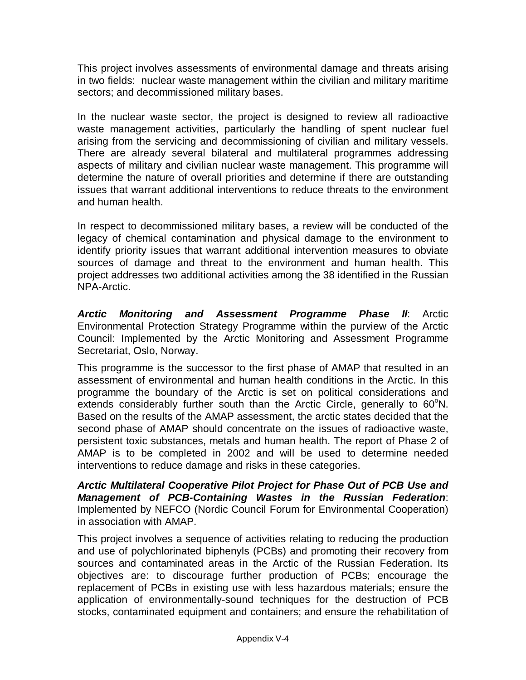This project involves assessments of environmental damage and threats arising in two fields: nuclear waste management within the civilian and military maritime sectors; and decommissioned military bases.

In the nuclear waste sector, the project is designed to review all radioactive waste management activities, particularly the handling of spent nuclear fuel arising from the servicing and decommissioning of civilian and military vessels. There are already several bilateral and multilateral programmes addressing aspects of military and civilian nuclear waste management. This programme will determine the nature of overall priorities and determine if there are outstanding issues that warrant additional interventions to reduce threats to the environment and human health.

In respect to decommissioned military bases, a review will be conducted of the legacy of chemical contamination and physical damage to the environment to identify priority issues that warrant additional intervention measures to obviate sources of damage and threat to the environment and human health. This project addresses two additional activities among the 38 identified in the Russian NPA-Arctic.

**Arctic Monitoring and Assessment Programme Phase II**: Arctic Environmental Protection Strategy Programme within the purview of the Arctic Council: Implemented by the Arctic Monitoring and Assessment Programme Secretariat, Oslo, Norway.

This programme is the successor to the first phase of AMAP that resulted in an assessment of environmental and human health conditions in the Arctic. In this programme the boundary of the Arctic is set on political considerations and extends considerably further south than the Arctic Circle, generally to  $60^{\circ}$ N. Based on the results of the AMAP assessment, the arctic states decided that the second phase of AMAP should concentrate on the issues of radioactive waste, persistent toxic substances, metals and human health. The report of Phase 2 of AMAP is to be completed in 2002 and will be used to determine needed interventions to reduce damage and risks in these categories.

**Arctic Multilateral Cooperative Pilot Project for Phase Out of PCB Use and Management of PCB-Containing Wastes in the Russian Federation**: Implemented by NEFCO (Nordic Council Forum for Environmental Cooperation) in association with AMAP.

This project involves a sequence of activities relating to reducing the production and use of polychlorinated biphenyls (PCBs) and promoting their recovery from sources and contaminated areas in the Arctic of the Russian Federation. Its objectives are: to discourage further production of PCBs; encourage the replacement of PCBs in existing use with less hazardous materials; ensure the application of environmentally-sound techniques for the destruction of PCB stocks, contaminated equipment and containers; and ensure the rehabilitation of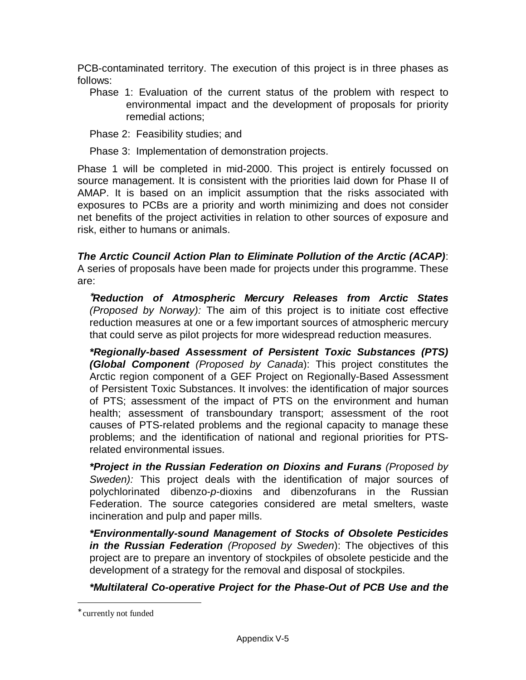PCB-contaminated territory. The execution of this project is in three phases as follows:

Phase 1: Evaluation of the current status of the problem with respect to environmental impact and the development of proposals for priority remedial actions;

Phase 2: Feasibility studies; and

Phase 3: Implementation of demonstration projects.

Phase 1 will be completed in mid-2000. This project is entirely focussed on source management. It is consistent with the priorities laid down for Phase II of AMAP. It is based on an implicit assumption that the risks associated with exposures to PCBs are a priority and worth minimizing and does not consider net benefits of the project activities in relation to other sources of exposure and risk, either to humans or animals.

**The Arctic Council Action Plan to Eliminate Pollution of the Arctic (ACAP)**: A series of proposals have been made for projects under this programme. These are:

<sup>∗</sup>**Reduction of Atmospheric Mercury Releases from Arctic States**  (Proposed by Norway): The aim of this project is to initiate cost effective reduction measures at one or a few important sources of atmospheric mercury that could serve as pilot projects for more widespread reduction measures.

**\*Regionally-based Assessment of Persistent Toxic Substances (PTS) (Global Component** (Proposed by Canada): This project constitutes the Arctic region component of a GEF Project on Regionally-Based Assessment of Persistent Toxic Substances. It involves: the identification of major sources of PTS; assessment of the impact of PTS on the environment and human health; assessment of transboundary transport; assessment of the root causes of PTS-related problems and the regional capacity to manage these problems; and the identification of national and regional priorities for PTSrelated environmental issues.

**\*Project in the Russian Federation on Dioxins and Furans** (Proposed by Sweden): This project deals with the identification of major sources of polychlorinated dibenzo-p-dioxins and dibenzofurans in the Russian Federation. The source categories considered are metal smelters, waste incineration and pulp and paper mills.

**\*Environmentally-sound Management of Stocks of Obsolete Pesticides in the Russian Federation** (Proposed by Sweden): The objectives of this project are to prepare an inventory of stockpiles of obsolete pesticide and the development of a strategy for the removal and disposal of stockpiles.

### **\*Multilateral Co-operative Project for the Phase-Out of PCB Use and the**

l

<sup>∗</sup> currently not funded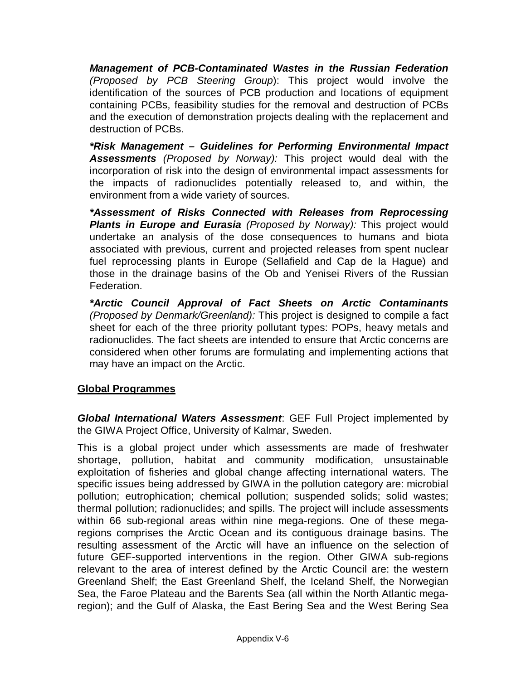**Management of PCB-Contaminated Wastes in the Russian Federation**  (Proposed by PCB Steering Group): This project would involve the identification of the sources of PCB production and locations of equipment containing PCBs, feasibility studies for the removal and destruction of PCBs and the execution of demonstration projects dealing with the replacement and destruction of PCBs.

**\*Risk Management – Guidelines for Performing Environmental Impact Assessments** (Proposed by Norway): This project would deal with the incorporation of risk into the design of environmental impact assessments for the impacts of radionuclides potentially released to, and within, the environment from a wide variety of sources.

**\*Assessment of Risks Connected with Releases from Reprocessing Plants in Europe and Eurasia** (Proposed by Norway): This project would undertake an analysis of the dose consequences to humans and biota associated with previous, current and projected releases from spent nuclear fuel reprocessing plants in Europe (Sellafield and Cap de la Hague) and those in the drainage basins of the Ob and Yenisei Rivers of the Russian Federation.

**\*Arctic Council Approval of Fact Sheets on Arctic Contaminants**  (Proposed by Denmark/Greenland): This project is designed to compile a fact sheet for each of the three priority pollutant types: POPs, heavy metals and radionuclides. The fact sheets are intended to ensure that Arctic concerns are considered when other forums are formulating and implementing actions that may have an impact on the Arctic.

### **Global Programmes**

**Global International Waters Assessment**: GEF Full Project implemented by the GIWA Project Office, University of Kalmar, Sweden.

This is a global project under which assessments are made of freshwater shortage, pollution, habitat and community modification, unsustainable exploitation of fisheries and global change affecting international waters. The specific issues being addressed by GIWA in the pollution category are: microbial pollution; eutrophication; chemical pollution; suspended solids; solid wastes; thermal pollution; radionuclides; and spills. The project will include assessments within 66 sub-regional areas within nine mega-regions. One of these megaregions comprises the Arctic Ocean and its contiguous drainage basins. The resulting assessment of the Arctic will have an influence on the selection of future GEF-supported interventions in the region. Other GIWA sub-regions relevant to the area of interest defined by the Arctic Council are: the western Greenland Shelf; the East Greenland Shelf, the Iceland Shelf, the Norwegian Sea, the Faroe Plateau and the Barents Sea (all within the North Atlantic megaregion); and the Gulf of Alaska, the East Bering Sea and the West Bering Sea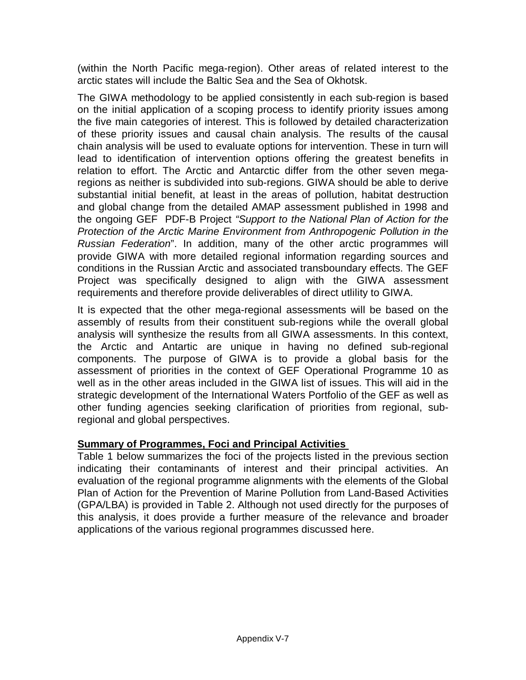(within the North Pacific mega-region). Other areas of related interest to the arctic states will include the Baltic Sea and the Sea of Okhotsk.

The GIWA methodology to be applied consistently in each sub-region is based on the initial application of a scoping process to identify priority issues among the five main categories of interest. This is followed by detailed characterization of these priority issues and causal chain analysis. The results of the causal chain analysis will be used to evaluate options for intervention. These in turn will lead to identification of intervention options offering the greatest benefits in relation to effort. The Arctic and Antarctic differ from the other seven megaregions as neither is subdivided into sub-regions. GIWA should be able to derive substantial initial benefit, at least in the areas of pollution, habitat destruction and global change from the detailed AMAP assessment published in 1998 and the ongoing GEF PDF-B Project "Support to the National Plan of Action for the Protection of the Arctic Marine Environment from Anthropogenic Pollution in the Russian Federation". In addition, many of the other arctic programmes will provide GIWA with more detailed regional information regarding sources and conditions in the Russian Arctic and associated transboundary effects. The GEF Project was specifically designed to align with the GIWA assessment requirements and therefore provide deliverables of direct utlility to GIWA.

It is expected that the other mega-regional assessments will be based on the assembly of results from their constituent sub-regions while the overall global analysis will synthesize the results from all GIWA assessments. In this context, the Arctic and Antartic are unique in having no defined sub-regional components. The purpose of GIWA is to provide a global basis for the assessment of priorities in the context of GEF Operational Programme 10 as well as in the other areas included in the GIWA list of issues. This will aid in the strategic development of the International Waters Portfolio of the GEF as well as other funding agencies seeking clarification of priorities from regional, subregional and global perspectives.

### **Summary of Programmes, Foci and Principal Activities**

Table 1 below summarizes the foci of the projects listed in the previous section indicating their contaminants of interest and their principal activities. An evaluation of the regional programme alignments with the elements of the Global Plan of Action for the Prevention of Marine Pollution from Land-Based Activities (GPA/LBA) is provided in Table 2. Although not used directly for the purposes of this analysis, it does provide a further measure of the relevance and broader applications of the various regional programmes discussed here.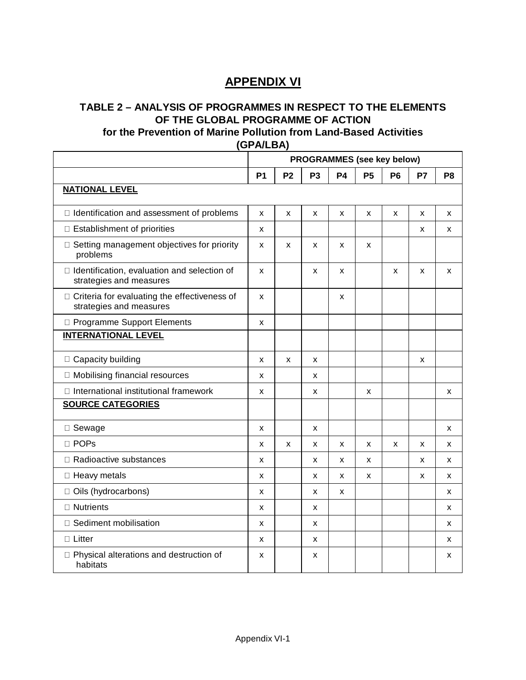### **APPENDIX VI**

## **TABLE 2 – ANALYSIS OF PROGRAMMES IN RESPECT TO THE ELEMENTS OF THE GLOBAL PROGRAMME OF ACTION**

### **for the Prevention of Marine Pollution from Land-Based Activities**

**(GPA/LBA)**

|                                                                           | <b>PROGRAMMES</b> (see key below) |                |                |           |           |                |    |                |
|---------------------------------------------------------------------------|-----------------------------------|----------------|----------------|-----------|-----------|----------------|----|----------------|
|                                                                           | <b>P1</b>                         | P <sub>2</sub> | P <sub>3</sub> | <b>P4</b> | <b>P5</b> | P <sub>6</sub> | P7 | P <sub>8</sub> |
| <b>NATIONAL LEVEL</b>                                                     |                                   |                |                |           |           |                |    |                |
| $\Box$ Identification and assessment of problems                          | X                                 | X              | X              | X         | X         | X              | X  | X              |
| □ Establishment of priorities                                             | X                                 |                |                |           |           |                | X  | X              |
| □ Setting management objectives for priority<br>problems                  | X                                 | X              | X              | X         | X         |                |    |                |
| □ Identification, evaluation and selection of<br>strategies and measures  | X                                 |                | x              | X         |           | X              | X  | X              |
| □ Criteria for evaluating the effectiveness of<br>strategies and measures | X                                 |                |                | x         |           |                |    |                |
| □ Programme Support Elements                                              | X                                 |                |                |           |           |                |    |                |
| <b>INTERNATIONAL LEVEL</b>                                                |                                   |                |                |           |           |                |    |                |
| □ Capacity building                                                       | X                                 | X              | X              |           |           |                | X  |                |
| □ Mobilising financial resources                                          | X                                 |                | x              |           |           |                |    |                |
| □ International institutional framework                                   | X                                 |                | x              |           | X         |                |    | X              |
| <b>SOURCE CATEGORIES</b>                                                  |                                   |                |                |           |           |                |    |                |
| □ Sewage                                                                  | X                                 |                | x              |           |           |                |    | X              |
| □ POPs                                                                    | X                                 | X              | x              | X         | X         | X              | X  | X              |
| □ Radioactive substances                                                  | X                                 |                | x              | X         | X         |                | x  | X              |
| □ Heavy metals                                                            | X                                 |                | x              | X         | X         |                | X  | X              |
| □ Oils (hydrocarbons)                                                     | x                                 |                | x              | X         |           |                |    | X              |
| □ Nutrients                                                               | X                                 |                | x              |           |           |                |    | x              |
| □ Sediment mobilisation                                                   | x                                 |                | x              |           |           |                |    | X              |
| $\Box$ Litter                                                             | X                                 |                | X              |           |           |                |    | X              |
| □ Physical alterations and destruction of<br>habitats                     | X                                 |                | x              |           |           |                |    | X              |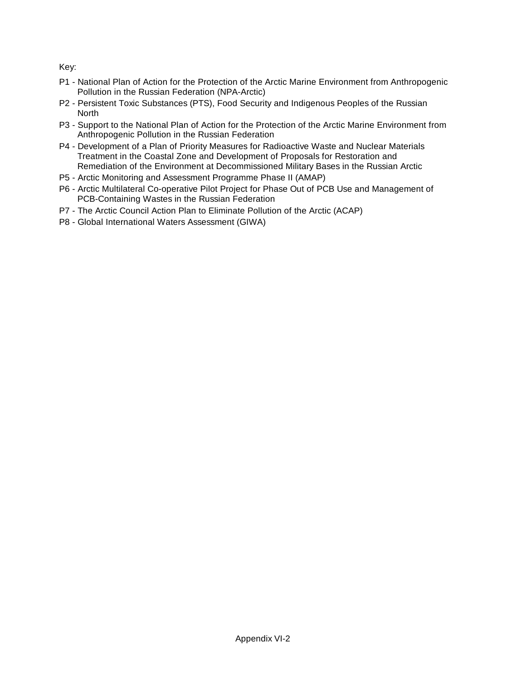Key:

- P1 National Plan of Action for the Protection of the Arctic Marine Environment from Anthropogenic Pollution in the Russian Federation (NPA-Arctic)
- P2 Persistent Toxic Substances (PTS), Food Security and Indigenous Peoples of the Russian North
- P3 Support to the National Plan of Action for the Protection of the Arctic Marine Environment from Anthropogenic Pollution in the Russian Federation
- P4 Development of a Plan of Priority Measures for Radioactive Waste and Nuclear Materials Treatment in the Coastal Zone and Development of Proposals for Restoration and Remediation of the Environment at Decommissioned Military Bases in the Russian Arctic
- P5 Arctic Monitoring and Assessment Programme Phase II (AMAP)
- P6 Arctic Multilateral Co-operative Pilot Project for Phase Out of PCB Use and Management of PCB-Containing Wastes in the Russian Federation
- P7 The Arctic Council Action Plan to Eliminate Pollution of the Arctic (ACAP)
- P8 Global International Waters Assessment (GIWA)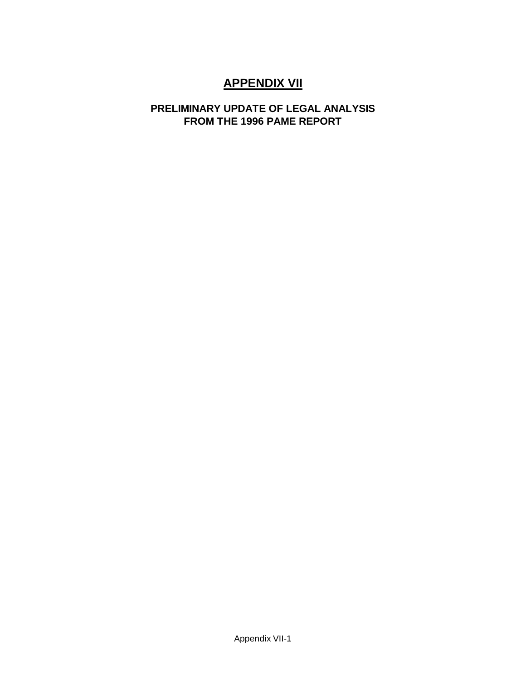### **APPENDIX VII**

### **PRELIMINARY UPDATE OF LEGAL ANALYSIS FROM THE 1996 PAME REPORT**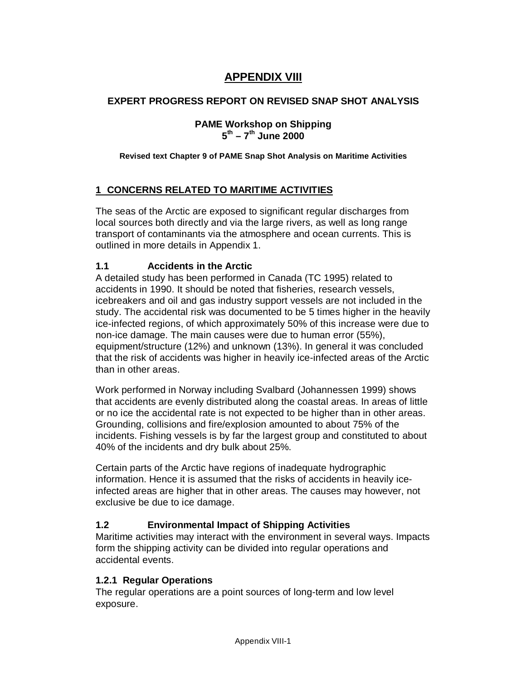### **APPENDIX VIII**

#### **EXPERT PROGRESS REPORT ON REVISED SNAP SHOT ANALYSIS**

#### **PAME Workshop on Shipping 5 th – 7 th June 2000**

#### **Revised text Chapter 9 of PAME Snap Shot Analysis on Maritime Activities**

#### **1 CONCERNS RELATED TO MARITIME ACTIVITIES**

The seas of the Arctic are exposed to significant regular discharges from local sources both directly and via the large rivers, as well as long range transport of contaminants via the atmosphere and ocean currents. This is outlined in more details in Appendix 1.

#### **1.1 Accidents in the Arctic**

A detailed study has been performed in Canada (TC 1995) related to accidents in 1990. It should be noted that fisheries, research vessels, icebreakers and oil and gas industry support vessels are not included in the study. The accidental risk was documented to be 5 times higher in the heavily ice-infected regions, of which approximately 50% of this increase were due to non-ice damage. The main causes were due to human error (55%), equipment/structure (12%) and unknown (13%). In general it was concluded that the risk of accidents was higher in heavily ice-infected areas of the Arctic than in other areas.

Work performed in Norway including Svalbard (Johannessen 1999) shows that accidents are evenly distributed along the coastal areas. In areas of little or no ice the accidental rate is not expected to be higher than in other areas. Grounding, collisions and fire/explosion amounted to about 75% of the incidents. Fishing vessels is by far the largest group and constituted to about 40% of the incidents and dry bulk about 25%.

Certain parts of the Arctic have regions of inadequate hydrographic information. Hence it is assumed that the risks of accidents in heavily iceinfected areas are higher that in other areas. The causes may however, not exclusive be due to ice damage.

#### **1.2 Environmental Impact of Shipping Activities**

Maritime activities may interact with the environment in several ways. Impacts form the shipping activity can be divided into regular operations and accidental events.

#### **1.2.1 Regular Operations**

The regular operations are a point sources of long-term and low level exposure.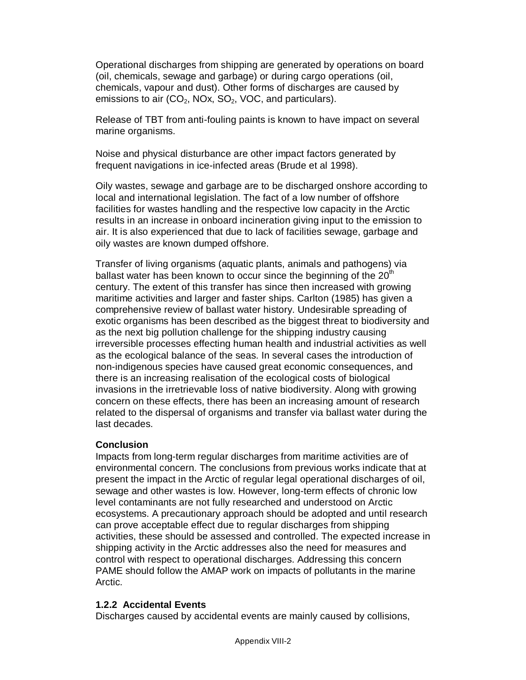Operational discharges from shipping are generated by operations on board (oil, chemicals, sewage and garbage) or during cargo operations (oil, chemicals, vapour and dust). Other forms of discharges are caused by emissions to air  $(CO_2, NOx, SO_2, VOC, and particulars).$ 

Release of TBT from anti-fouling paints is known to have impact on several marine organisms.

Noise and physical disturbance are other impact factors generated by frequent navigations in ice-infected areas (Brude et al 1998).

Oily wastes, sewage and garbage are to be discharged onshore according to local and international legislation. The fact of a low number of offshore facilities for wastes handling and the respective low capacity in the Arctic results in an increase in onboard incineration giving input to the emission to air. It is also experienced that due to lack of facilities sewage, garbage and oily wastes are known dumped offshore.

Transfer of living organisms (aquatic plants, animals and pathogens) via ballast water has been known to occur since the beginning of the 20<sup>th</sup> century. The extent of this transfer has since then increased with growing maritime activities and larger and faster ships. Carlton (1985) has given a comprehensive review of ballast water history. Undesirable spreading of exotic organisms has been described as the biggest threat to biodiversity and as the next big pollution challenge for the shipping industry causing irreversible processes effecting human health and industrial activities as well as the ecological balance of the seas. In several cases the introduction of non-indigenous species have caused great economic consequences, and there is an increasing realisation of the ecological costs of biological invasions in the irretrievable loss of native biodiversity. Along with growing concern on these effects, there has been an increasing amount of research related to the dispersal of organisms and transfer via ballast water during the last decades.

#### **Conclusion**

Impacts from long-term regular discharges from maritime activities are of environmental concern. The conclusions from previous works indicate that at present the impact in the Arctic of regular legal operational discharges of oil, sewage and other wastes is low. However, long-term effects of chronic low level contaminants are not fully researched and understood on Arctic ecosystems. A precautionary approach should be adopted and until research can prove acceptable effect due to regular discharges from shipping activities, these should be assessed and controlled. The expected increase in shipping activity in the Arctic addresses also the need for measures and control with respect to operational discharges. Addressing this concern PAME should follow the AMAP work on impacts of pollutants in the marine Arctic.

#### **1.2.2 Accidental Events**

Discharges caused by accidental events are mainly caused by collisions,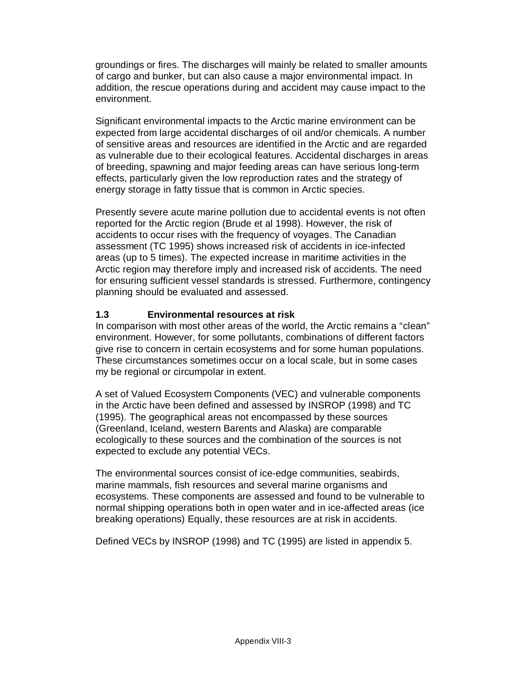groundings or fires. The discharges will mainly be related to smaller amounts of cargo and bunker, but can also cause a major environmental impact. In addition, the rescue operations during and accident may cause impact to the environment.

Significant environmental impacts to the Arctic marine environment can be expected from large accidental discharges of oil and/or chemicals. A number of sensitive areas and resources are identified in the Arctic and are regarded as vulnerable due to their ecological features. Accidental discharges in areas of breeding, spawning and major feeding areas can have serious long-term effects, particularly given the low reproduction rates and the strategy of energy storage in fatty tissue that is common in Arctic species.

Presently severe acute marine pollution due to accidental events is not often reported for the Arctic region (Brude et al 1998). However, the risk of accidents to occur rises with the frequency of voyages. The Canadian assessment (TC 1995) shows increased risk of accidents in ice-infected areas (up to 5 times). The expected increase in maritime activities in the Arctic region may therefore imply and increased risk of accidents. The need for ensuring sufficient vessel standards is stressed. Furthermore, contingency planning should be evaluated and assessed.

#### **1.3 Environmental resources at risk**

In comparison with most other areas of the world, the Arctic remains a "clean" environment. However, for some pollutants, combinations of different factors give rise to concern in certain ecosystems and for some human populations. These circumstances sometimes occur on a local scale, but in some cases my be regional or circumpolar in extent.

A set of Valued Ecosystem Components (VEC) and vulnerable components in the Arctic have been defined and assessed by INSROP (1998) and TC (1995). The geographical areas not encompassed by these sources (Greenland, Iceland, western Barents and Alaska) are comparable ecologically to these sources and the combination of the sources is not expected to exclude any potential VECs.

The environmental sources consist of ice-edge communities, seabirds, marine mammals, fish resources and several marine organisms and ecosystems. These components are assessed and found to be vulnerable to normal shipping operations both in open water and in ice-affected areas (ice breaking operations) Equally, these resources are at risk in accidents.

Defined VECs by INSROP (1998) and TC (1995) are listed in appendix 5.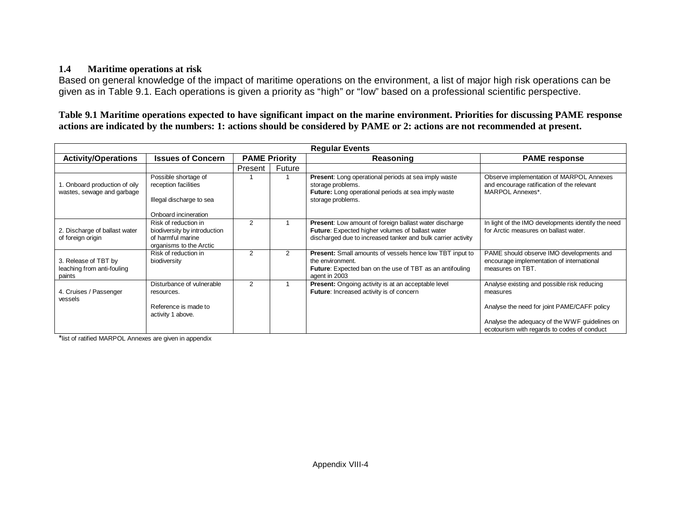#### **1.4Maritime operations at risk**

Based on general knowledge of the impact of maritime operations on the environment, a list of major high risk operations can be given as in Table 9.1. Each operations is given a priority as "high" or "low" based on a professional scientific perspective.

**Table 9.1 Maritime operations expected to have significant impact on the marine environment. Priorities for discussing PAME response actions are indicated by the numbers: 1: actions should be considered by PAME or 2: actions are not recommended at present.**

| <b>Regular Events</b>                                        |                                                                                                      |                      |        |                                                                                                                                                                            |                                                                                                            |           |                      |  |
|--------------------------------------------------------------|------------------------------------------------------------------------------------------------------|----------------------|--------|----------------------------------------------------------------------------------------------------------------------------------------------------------------------------|------------------------------------------------------------------------------------------------------------|-----------|----------------------|--|
| <b>Activity/Operations</b>                                   | <b>Issues of Concern</b>                                                                             | <b>PAME Priority</b> |        |                                                                                                                                                                            |                                                                                                            | Reasoning | <b>PAME</b> response |  |
|                                                              |                                                                                                      | Present              | Future |                                                                                                                                                                            |                                                                                                            |           |                      |  |
| 1. Onboard production of oily<br>wastes, sewage and garbage  | Possible shortage of<br>reception facilities                                                         |                      |        | <b>Present:</b> Long operational periods at sea imply waste<br>storage problems.<br><b>Future:</b> Long operational periods at sea imply waste                             | Observe implementation of MARPOL Annexes<br>and encourage ratification of the relevant<br>MARPOL Annexes*. |           |                      |  |
|                                                              | Illegal discharge to sea<br>Onboard incineration                                                     |                      |        | storage problems.                                                                                                                                                          |                                                                                                            |           |                      |  |
| 2. Discharge of ballast water<br>of foreign origin           | Risk of reduction in<br>biodiversity by introduction<br>of harmful marine<br>organisms to the Arctic | $\mathcal{P}$        |        | Present: Low amount of foreign ballast water discharge<br>Future: Expected higher volumes of ballast water<br>discharged due to increased tanker and bulk carrier activity | In light of the IMO developments identify the need<br>for Arctic measures on ballast water.                |           |                      |  |
| 3. Release of TBT by<br>leaching from anti-fouling<br>paints | Risk of reduction in<br>biodiversity                                                                 | 2                    | 2      | <b>Present:</b> Small amounts of vessels hence low TBT input to<br>the environment.<br><b>Future:</b> Expected ban on the use of TBT as an antifouling<br>agent in 2003    | PAME should observe IMO developments and<br>encourage implementation of international<br>measures on TBT.  |           |                      |  |
| 4. Cruises / Passenger<br>vessels                            | Disturbance of vulnerable<br>resources.                                                              | 2                    |        | Present: Ongoing activity is at an acceptable level<br>Future: Increased activity is of concern                                                                            | Analyse existing and possible risk reducing<br>measures                                                    |           |                      |  |
|                                                              | Reference is made to<br>activity 1 above.                                                            |                      |        |                                                                                                                                                                            | Analyse the need for joint PAME/CAFF policy                                                                |           |                      |  |
|                                                              |                                                                                                      |                      |        |                                                                                                                                                                            | Analyse the adequacy of the WWF quidelines on<br>ecotourism with regards to codes of conduct               |           |                      |  |

\*list of ratified MARPOL Annexes are given in appendix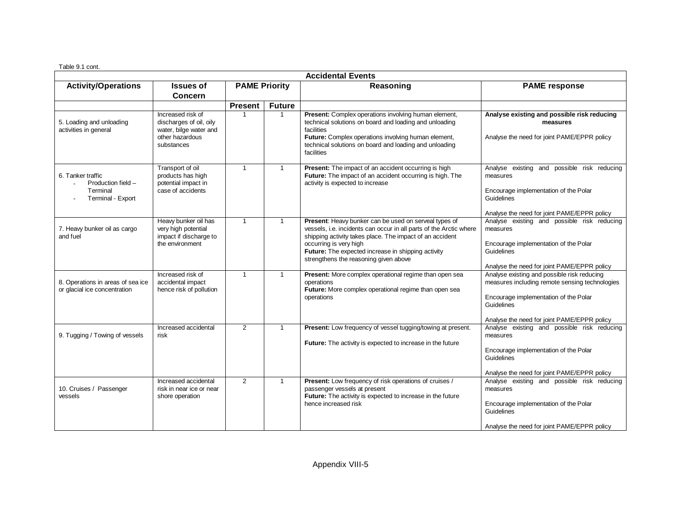Table 9.1 cont.

| <b>Accidental Events</b>                                                 |                                                                                                         |                      |               |                                                                                                                                                                                                                                                                                                                  |                                                                                                                                                                                                     |  |  |  |  |  |  |  |  |           |                      |
|--------------------------------------------------------------------------|---------------------------------------------------------------------------------------------------------|----------------------|---------------|------------------------------------------------------------------------------------------------------------------------------------------------------------------------------------------------------------------------------------------------------------------------------------------------------------------|-----------------------------------------------------------------------------------------------------------------------------------------------------------------------------------------------------|--|--|--|--|--|--|--|--|-----------|----------------------|
| <b>Activity/Operations</b>                                               | <b>Issues of</b><br><b>Concern</b>                                                                      | <b>PAME Priority</b> |               |                                                                                                                                                                                                                                                                                                                  |                                                                                                                                                                                                     |  |  |  |  |  |  |  |  | Reasoning | <b>PAME</b> response |
|                                                                          |                                                                                                         | <b>Present</b>       | <b>Future</b> |                                                                                                                                                                                                                                                                                                                  |                                                                                                                                                                                                     |  |  |  |  |  |  |  |  |           |                      |
| 5. Loading and unloading<br>activities in general                        | Increased risk of<br>discharges of oil, oily<br>water, bilge water and<br>other hazardous<br>substances | $\mathbf 1$          | $\mathbf{1}$  | Present: Complex operations involving human element,<br>technical solutions on board and loading and unloading<br>facilities<br>Future: Complex operations involving human element,<br>technical solutions on board and loading and unloading<br>facilities                                                      | Analyse existing and possible risk reducing<br>measures<br>Analyse the need for joint PAME/EPPR policy                                                                                              |  |  |  |  |  |  |  |  |           |                      |
| 6. Tanker traffic<br>Production field -<br>Terminal<br>Terminal - Export | Transport of oil<br>products has high<br>potential impact in<br>case of accidents                       | $\mathbf{1}$         | $\mathbf{1}$  | Present: The impact of an accident occurring is high<br>Future: The impact of an accident occurring is high. The<br>activity is expected to increase                                                                                                                                                             | Analyse existing and possible risk reducing<br>measures<br>Encourage implementation of the Polar<br>Guidelines<br>Analyse the need for joint PAME/EPPR policy                                       |  |  |  |  |  |  |  |  |           |                      |
| 7. Heavy bunker oil as cargo<br>and fuel                                 | Heavy bunker oil has<br>very high potential<br>impact if discharge to<br>the environment                | $\mathbf{1}$         | $\mathbf{1}$  | Present: Heavy bunker can be used on serveal types of<br>vessels, i.e. incidents can occur in all parts of the Arctic where<br>shipping activity takes place. The impact of an accident<br>occurring is very high<br>Future: The expected increase in shipping activity<br>strengthens the reasoning given above | Analyse existing and possible risk reducing<br>measures<br>Encourage implementation of the Polar<br>Guidelines<br>Analyse the need for joint PAME/EPPR policy                                       |  |  |  |  |  |  |  |  |           |                      |
| 8. Operations in areas of sea ice<br>or glacial ice concentration        | Increased risk of<br>accidental impact<br>hence risk of pollution                                       | $\mathbf{1}$         | $\mathbf{1}$  | Present: More complex operational regime than open sea<br>operations<br>Future: More complex operational regime than open sea<br>operations                                                                                                                                                                      | Analyse existing and possible risk reducing<br>measures including remote sensing technologies<br>Encourage implementation of the Polar<br>Guidelines<br>Analyse the need for joint PAME/EPPR policy |  |  |  |  |  |  |  |  |           |                      |
| 9. Tugging / Towing of vessels                                           | Increased accidental<br>risk                                                                            | $\overline{2}$       | $\mathbf{1}$  | Present: Low frequency of vessel tugging/towing at present.<br><b>Future:</b> The activity is expected to increase in the future                                                                                                                                                                                 | Analyse existing and possible risk reducing<br>measures<br>Encourage implementation of the Polar<br>Guidelines<br>Analyse the need for joint PAME/EPPR policy                                       |  |  |  |  |  |  |  |  |           |                      |
| 10. Cruises / Passenger<br>vessels                                       | Increased accidental<br>risk in near ice or near<br>shore operation                                     | $\mathcal{P}$        | $\mathbf{1}$  | Present: Low frequency of risk operations of cruises /<br>passenger vessels at present<br>Future: The activity is expected to increase in the future<br>hence increased risk                                                                                                                                     | Analyse existing and possible risk reducing<br>measures<br>Encourage implementation of the Polar<br>Guidelines<br>Analyse the need for joint PAME/EPPR policy                                       |  |  |  |  |  |  |  |  |           |                      |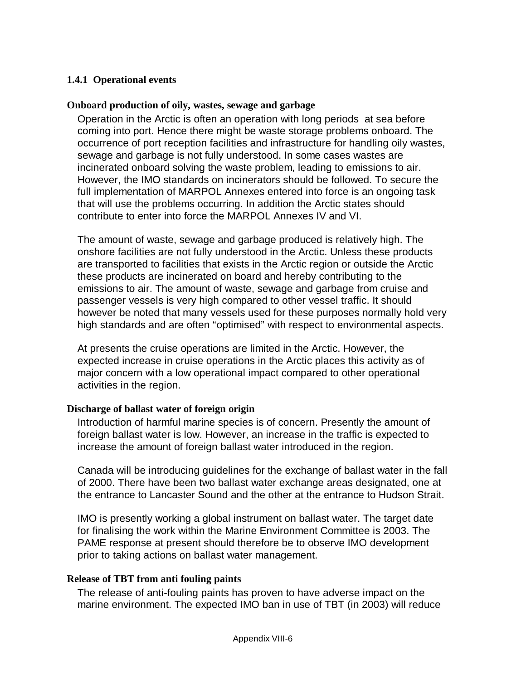#### **1.4.1 Operational events**

#### **Onboard production of oily, wastes, sewage and garbage**

Operation in the Arctic is often an operation with long periods at sea before coming into port. Hence there might be waste storage problems onboard. The occurrence of port reception facilities and infrastructure for handling oily wastes, sewage and garbage is not fully understood. In some cases wastes are incinerated onboard solving the waste problem, leading to emissions to air. However, the IMO standards on incinerators should be followed. To secure the full implementation of MARPOL Annexes entered into force is an ongoing task that will use the problems occurring. In addition the Arctic states should contribute to enter into force the MARPOL Annexes IV and VI.

The amount of waste, sewage and garbage produced is relatively high. The onshore facilities are not fully understood in the Arctic. Unless these products are transported to facilities that exists in the Arctic region or outside the Arctic these products are incinerated on board and hereby contributing to the emissions to air. The amount of waste, sewage and garbage from cruise and passenger vessels is very high compared to other vessel traffic. It should however be noted that many vessels used for these purposes normally hold very high standards and are often "optimised" with respect to environmental aspects.

At presents the cruise operations are limited in the Arctic. However, the expected increase in cruise operations in the Arctic places this activity as of major concern with a low operational impact compared to other operational activities in the region.

#### **Discharge of ballast water of foreign origin**

Introduction of harmful marine species is of concern. Presently the amount of foreign ballast water is low. However, an increase in the traffic is expected to increase the amount of foreign ballast water introduced in the region.

Canada will be introducing guidelines for the exchange of ballast water in the fall of 2000. There have been two ballast water exchange areas designated, one at the entrance to Lancaster Sound and the other at the entrance to Hudson Strait.

IMO is presently working a global instrument on ballast water. The target date for finalising the work within the Marine Environment Committee is 2003. The PAME response at present should therefore be to observe IMO development prior to taking actions on ballast water management.

#### **Release of TBT from anti fouling paints**

The release of anti-fouling paints has proven to have adverse impact on the marine environment. The expected IMO ban in use of TBT (in 2003) will reduce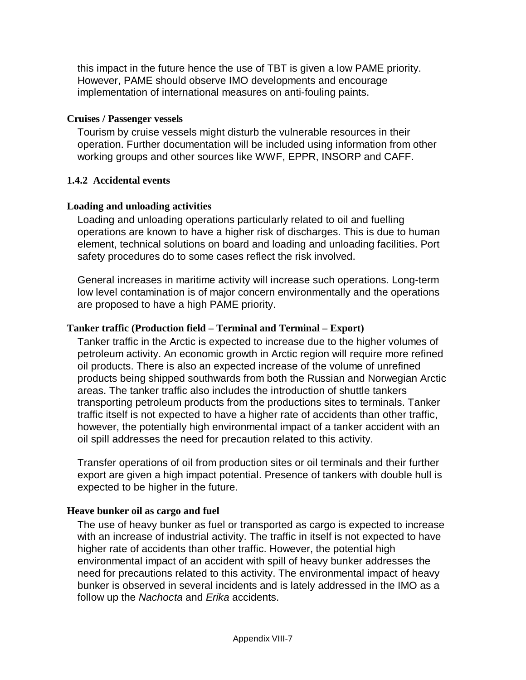this impact in the future hence the use of TBT is given a low PAME priority. However, PAME should observe IMO developments and encourage implementation of international measures on anti-fouling paints.

#### **Cruises / Passenger vessels**

Tourism by cruise vessels might disturb the vulnerable resources in their operation. Further documentation will be included using information from other working groups and other sources like WWF, EPPR, INSORP and CAFF.

### **1.4.2 Accidental events**

### **Loading and unloading activities**

Loading and unloading operations particularly related to oil and fuelling operations are known to have a higher risk of discharges. This is due to human element, technical solutions on board and loading and unloading facilities. Port safety procedures do to some cases reflect the risk involved.

General increases in maritime activity will increase such operations. Long-term low level contamination is of major concern environmentally and the operations are proposed to have a high PAME priority.

### **Tanker traffic (Production field – Terminal and Terminal – Export)**

Tanker traffic in the Arctic is expected to increase due to the higher volumes of petroleum activity. An economic growth in Arctic region will require more refined oil products. There is also an expected increase of the volume of unrefined products being shipped southwards from both the Russian and Norwegian Arctic areas. The tanker traffic also includes the introduction of shuttle tankers transporting petroleum products from the productions sites to terminals. Tanker traffic itself is not expected to have a higher rate of accidents than other traffic, however, the potentially high environmental impact of a tanker accident with an oil spill addresses the need for precaution related to this activity.

Transfer operations of oil from production sites or oil terminals and their further export are given a high impact potential. Presence of tankers with double hull is expected to be higher in the future.

### **Heave bunker oil as cargo and fuel**

The use of heavy bunker as fuel or transported as cargo is expected to increase with an increase of industrial activity. The traffic in itself is not expected to have higher rate of accidents than other traffic. However, the potential high environmental impact of an accident with spill of heavy bunker addresses the need for precautions related to this activity. The environmental impact of heavy bunker is observed in several incidents and is lately addressed in the IMO as a follow up the Nachocta and Erika accidents.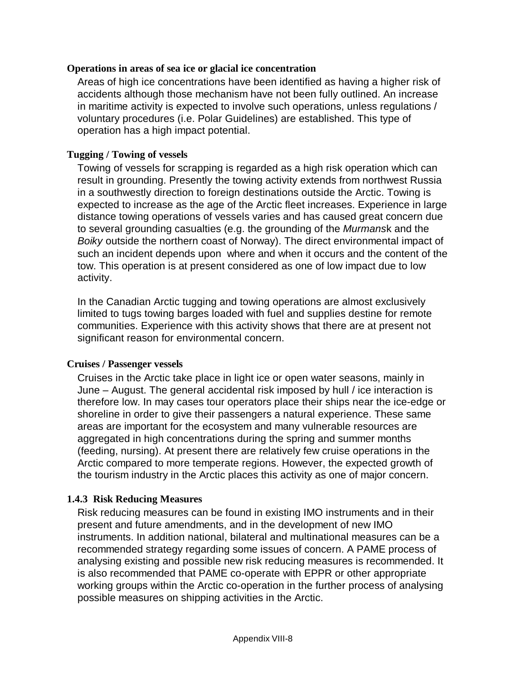#### **Operations in areas of sea ice or glacial ice concentration**

Areas of high ice concentrations have been identified as having a higher risk of accidents although those mechanism have not been fully outlined. An increase in maritime activity is expected to involve such operations, unless regulations / voluntary procedures (i.e. Polar Guidelines) are established. This type of operation has a high impact potential.

### **Tugging / Towing of vessels**

Towing of vessels for scrapping is regarded as a high risk operation which can result in grounding. Presently the towing activity extends from northwest Russia in a southwestly direction to foreign destinations outside the Arctic. Towing is expected to increase as the age of the Arctic fleet increases. Experience in large distance towing operations of vessels varies and has caused great concern due to several grounding casualties (e.g. the grounding of the Murmansk and the Boiky outside the northern coast of Norway). The direct environmental impact of such an incident depends upon where and when it occurs and the content of the tow. This operation is at present considered as one of low impact due to low activity.

In the Canadian Arctic tugging and towing operations are almost exclusively limited to tugs towing barges loaded with fuel and supplies destine for remote communities. Experience with this activity shows that there are at present not significant reason for environmental concern.

#### **Cruises / Passenger vessels**

Cruises in the Arctic take place in light ice or open water seasons, mainly in June – August. The general accidental risk imposed by hull / ice interaction is therefore low. In may cases tour operators place their ships near the ice-edge or shoreline in order to give their passengers a natural experience. These same areas are important for the ecosystem and many vulnerable resources are aggregated in high concentrations during the spring and summer months (feeding, nursing). At present there are relatively few cruise operations in the Arctic compared to more temperate regions. However, the expected growth of the tourism industry in the Arctic places this activity as one of major concern.

#### **1.4.3 Risk Reducing Measures**

Risk reducing measures can be found in existing IMO instruments and in their present and future amendments, and in the development of new IMO instruments. In addition national, bilateral and multinational measures can be a recommended strategy regarding some issues of concern. A PAME process of analysing existing and possible new risk reducing measures is recommended. It is also recommended that PAME co-operate with EPPR or other appropriate working groups within the Arctic co-operation in the further process of analysing possible measures on shipping activities in the Arctic.